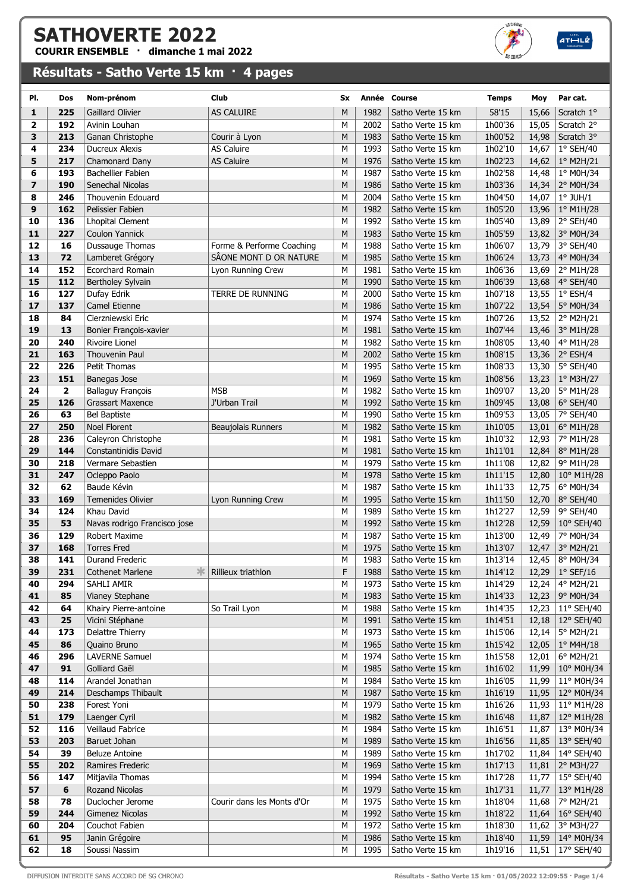## SATHOVERTE 2022

COURIR ENSEMBLE · dimanche 1 mai 2022

## Résultats - Satho Verte 15 km · 4 pages



 $ATHL\dot{z}$ 

| PI.                     | Dos            | Nom-prénom                                 | <b>Club</b>                | Sx     |              | Année Course                           | <b>Temps</b>       | Moy            | Par cat.                    |
|-------------------------|----------------|--------------------------------------------|----------------------------|--------|--------------|----------------------------------------|--------------------|----------------|-----------------------------|
| 1                       | 225            | <b>Gaillard Olivier</b>                    | AS CALUIRE                 | M      | 1982         | Satho Verte 15 km                      | 58'15              | 15,66          | Scratch 1°                  |
| $\overline{\mathbf{2}}$ | 192            | Avinin Louhan                              |                            | M      | 2002         | Satho Verte 15 km                      | 1h00'36            | 15,05          | Scratch 2°                  |
| 3                       | 213            | Ganan Christophe                           | Courir à Lyon              | M      | 1983         | Satho Verte 15 km                      | 1h00'52            | 14,98          | Scratch 3°                  |
| 4                       | 234            | <b>Ducreux Alexis</b>                      | AS Caluire                 | M      | 1993         | Satho Verte 15 km                      | 1h02'10            | 14,67          | $1°$ SEH/40                 |
| 5<br>6                  | 217<br>193     | Chamonard Dany<br><b>Bachellier Fabien</b> | <b>AS Caluire</b>          | M<br>M | 1976<br>1987 | Satho Verte 15 km<br>Satho Verte 15 km | 1h02'23<br>1h02'58 | 14,62          | 1° M2H/21                   |
| $\overline{z}$          | 190            | Senechal Nicolas                           |                            | M      | 1986         | Satho Verte 15 km                      | 1h03'36            | 14,48<br>14,34 | 1° M0H/34<br>2° M0H/34      |
| 8                       | 246            | Thouvenin Edouard                          |                            | M      | 2004         | Satho Verte 15 km                      | 1h04'50            | 14,07          | $1°$ JUH/ $1$               |
| 9                       | 162            | Pelissier Fabien                           |                            | M      | 1982         | Satho Verte 15 km                      | 1h05'20            | 13,96          | 1° M1H/28                   |
| 10                      | 136            | <b>Lhopital Clement</b>                    |                            | M      | 1992         | Satho Verte 15 km                      | 1h05'40            | 13,89          | 2° SEH/40                   |
| 11                      | 227            | <b>Coulon Yannick</b>                      |                            | M      | 1983         | Satho Verte 15 km                      | 1h05'59            | 13,82          | 3° M0H/34                   |
| 12                      | 16             | Dussauge Thomas                            | Forme & Performe Coaching  | M      | 1988         | Satho Verte 15 km                      | 1h06'07            | 13,79          | 3° SEH/40                   |
| 13                      | 72             | Lamberet Grégory                           | SÂONE MONT D OR NATURE     | M      | 1985         | Satho Verte 15 km                      | 1h06'24            | 13,73          | 4° M0H/34                   |
| 14                      | 152            | <b>Ecorchard Romain</b>                    | Lyon Running Crew          | M      | 1981         | Satho Verte 15 km                      | 1h06'36            | 13,69          | 2° M1H/28                   |
| 15                      | 112            | Bertholey Sylvain                          |                            | M      | 1990         | Satho Verte 15 km                      | 1h06'39            | 13,68          | 4° SEH/40                   |
| 16                      | 127            | Dufay Edrik                                | TERRE DE RUNNING           | M      | 2000         | Satho Verte 15 km                      | 1h07'18            | 13,55          | $1^{\circ}$ ESH/4           |
| 17                      | 137            | Camel Etienne                              |                            | M      | 1986         | Satho Verte 15 km                      | 1h07'22            | 13,54          | 5° M0H/34                   |
| 18                      | 84             | Cierzniewski Eric                          |                            | M      | 1974         | Satho Verte 15 km                      | 1h07'26            | 13,52          | $2^{\circ}$ M2H/21          |
| 19                      | 13             | Bonier François-xavier                     |                            | M      | 1981         | Satho Verte 15 km                      | 1h07'44            | 13,46          | 3° M1H/28                   |
| 20                      | 240            | <b>Rivoire Lionel</b>                      |                            | M      | 1982         | Satho Verte 15 km                      | 1h08'05            | 13,40          | 4° M1H/28                   |
| 21                      | 163            | Thouvenin Paul                             |                            | M      | 2002         | Satho Verte 15 km                      | 1h08'15            | 13,36          | 2° ESH/4                    |
| 22                      | 226            | Petit Thomas                               |                            | M      | 1995         | Satho Verte 15 km                      | 1h08'33            | 13,30          | 5° SEH/40                   |
| 23                      | 151            | Banegas Jose                               |                            | M      | 1969         | Satho Verte 15 km                      | 1h08'56            | 13,23          | $1°$ M3H/27                 |
| 24                      | $\overline{2}$ | <b>Ballaguy François</b>                   | <b>MSB</b>                 | M      | 1982         | Satho Verte 15 km                      | 1h09'07            | 13,20          | 5° M1H/28                   |
| 25                      | 126            | <b>Grassart Maxence</b>                    | J'Urban Trail              | M      | 1992         | Satho Verte 15 km                      | 1h09'45            | 13,08          | $6°$ SEH/40                 |
| 26                      | 63             | <b>Bel Baptiste</b>                        |                            | M      | 1990         | Satho Verte 15 km                      | 1h09'53            | 13,05          | 7° SEH/40                   |
| 27                      | 250            | <b>Noel Florent</b>                        | Beaujolais Runners         | M      | 1982         | Satho Verte 15 km                      | 1h10'05            | 13,01          | 6° M1H/28                   |
| 28                      | 236            | Caleyron Christophe                        |                            | M      | 1981         | Satho Verte 15 km                      | 1h10'32            | 12,93          | 7° M1H/28                   |
| 29                      | 144            | Constantinidis David                       |                            | M      | 1981         | Satho Verte 15 km                      | 1h11'01            | 12,84          | 8° M1H/28                   |
| 30                      | 218            | Vermare Sebastien                          |                            | M      | 1979         | Satho Verte 15 km                      | 1h11'08            | 12,82          | 9° M1H/28                   |
| 31                      | 247            | Ocleppo Paolo                              |                            | M      | 1978         | Satho Verte 15 km                      | 1h11'15            | 12,80          | 10° M1H/28                  |
| 32                      | 62             | Baude Kévin                                |                            | M      | 1987         | Satho Verte 15 km                      | 1h11'33            | 12,75          | 6° M0H/34                   |
| 33<br>34                | 169<br>124     | <b>Temenides Olivier</b><br>Khau David     | Lyon Running Crew          | M<br>M | 1995<br>1989 | Satho Verte 15 km<br>Satho Verte 15 km | 1h11'50<br>1h12'27 | 12,70          | 8° SEH/40                   |
| 35                      | 53             | Navas rodrigo Francisco jose               |                            | M      | 1992         | Satho Verte 15 km                      | 1h12'28            | 12,59<br>12,59 | 9° SEH/40<br>10° SEH/40     |
| 36                      | 129            | Robert Maxime                              |                            | M      | 1987         | Satho Verte 15 km                      | 1h13'00            | 12,49          | 7° M0H/34                   |
| 37                      | 168            | <b>Torres Fred</b>                         |                            | M      | 1975         | Satho Verte 15 km                      | 1h13'07            | 12,47          | 3° M2H/21                   |
| 38                      | 141            | Durand Frederic                            |                            | М      | 1983         | Satho Verte 15 km                      | 1h13'14            | 12,45          | 8° M0H/34                   |
| 39                      | 231            | <b>Cothenet Marlene</b>                    | Rillieux triathlon         | F      | 1988         | Satho Verte 15 km                      | 1h14'12            | 12,29          | $1°$ SEF/16                 |
| 40                      | 294            | SAHLI AMIR                                 |                            | М      | 1973         | Satho Verte 15 km                      | 1h14'29            | 12,24          | 4° M2H/21                   |
| 41                      | 85             | Vianey Stephane                            |                            | M      | 1983         | Satho Verte 15 km                      | 1h14'33            | 12,23          | 9° M0H/34                   |
| 42                      | 64             | Khairy Pierre-antoine                      | So Trail Lyon              | M      | 1988         | Satho Verte 15 km                      | 1h14'35            | 12,23          | 11° SEH/40                  |
| 43                      | 25             | Vicini Stéphane                            |                            | M      | 1991         | Satho Verte 15 km                      | 1h14'51            | 12,18          | 12° SEH/40                  |
| 44                      | 173            | Delattre Thierry                           |                            | М      | 1973         | Satho Verte 15 km                      | 1h15'06            | 12,14          | 5° M2H/21                   |
| 45                      | 86             | Quaino Bruno                               |                            | M      | 1965         | Satho Verte 15 km                      | 1h15'42            | 12,05          | $1^{\circ}$ M4H/18          |
| 46                      | 296            | <b>LAVERNE Samuel</b>                      |                            | М      | 1974         | Satho Verte 15 km                      | 1h15'58            | 12,01          | 6° M2H/21                   |
| 47                      | 91             | Golliard Gaël                              |                            | M      | 1985         | Satho Verte 15 km                      | 1h16'02            | 11,99          | 10° M0H/34                  |
| 48                      | 114            | Arandel Jonathan                           |                            | М      | 1984         | Satho Verte 15 km                      | 1h16'05            | 11,99          | 11° M0H/34                  |
| 49                      | 214            | Deschamps Thibault                         |                            | M      | 1987         | Satho Verte 15 km                      | 1h16'19            | 11,95          | 12° M0H/34                  |
| 50                      | 238            | Forest Yoni                                |                            | М      | 1979         | Satho Verte 15 km                      | 1h16'26            | 11,93          | 11° M1H/28                  |
| 51                      | 179            | Laenger Cyril                              |                            | M      | 1982         | Satho Verte 15 km                      | 1h16'48            | 11,87          | 12° M1H/28                  |
| 52                      | 116            | Veillaud Fabrice                           |                            | М      | 1984         | Satho Verte 15 km                      | 1h16'51            | 11,87          | 13° M0H/34                  |
| 53                      | 203            | Baruet Johan                               |                            | M      | 1989         | Satho Verte 15 km                      | 1h16'56            | 11,85          | 13° SEH/40                  |
| 54<br>55                | 39             | <b>Beluze Antoine</b>                      |                            | М<br>M | 1989         | Satho Verte 15 km                      | 1h17'02            | 11,84          | 14° SEH/40                  |
| 56                      | 202<br>147     | Ramires Frederic<br>Mitjavila Thomas       |                            | М      | 1969<br>1994 | Satho Verte 15 km<br>Satho Verte 15 km | 1h17'13<br>1h17'28 | 11,81<br>11,77 | 2° M3H/27<br>15° SEH/40     |
| 57                      | 6              | Rozand Nicolas                             |                            | M      | 1979         | Satho Verte 15 km                      | 1h17'31            | 11,77          | 13° M1H/28                  |
| 58                      | 78             | Duclocher Jerome                           | Courir dans les Monts d'Or | М      | 1975         | Satho Verte 15 km                      | 1h18'04            | 11,68          | 7° M2H/21                   |
| 59                      | 244            | Gimenez Nicolas                            |                            | M      | 1992         | Satho Verte 15 km                      | 1h18'22            | 11,64          | 16° SEH/40                  |
| 60                      | 204            | Couchot Fabien                             |                            | M      | 1972         | Satho Verte 15 km                      | 1h18'30            | 11,62          | 3° M3H/27                   |
| 61                      | 95             | Janin Grégoire                             |                            | M      | 1986         | Satho Verte 15 km                      | 1h18'40            | 11,59          | $14^{\circ}$ M0H/34         |
| 62                      | 18             | Soussi Nassim                              |                            | M      | 1995         | Satho Verte 15 km                      | 1h19'16            |                | 11,51   $17^{\circ}$ SEH/40 |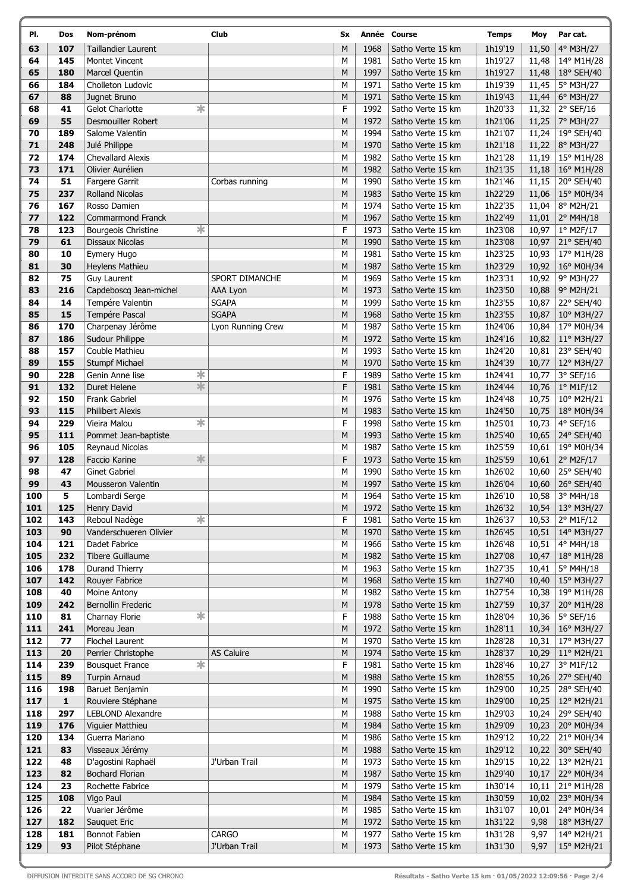| PI.        | Dos          | Nom-prénom                                     | Club                         | Sx     |              | Année Course                           | <b>Temps</b>       | Moy            | Par cat.                 |
|------------|--------------|------------------------------------------------|------------------------------|--------|--------------|----------------------------------------|--------------------|----------------|--------------------------|
| 63         | 107          | Taillandier Laurent                            |                              | M      | 1968         | Satho Verte 15 km                      | 1h19'19            | 11,50          | 4° M3H/27                |
| 64         | 145          | <b>Montet Vincent</b>                          |                              | M      | 1981         | Satho Verte 15 km                      | 1h19'27            | 11,48          | 14° M1H/28               |
| 65         | 180          | Marcel Quentin                                 |                              | M      | 1997         | Satho Verte 15 km                      | 1h19'27            | 11,48          | 18° SEH/40               |
| 66         | 184          | Cholleton Ludovic                              |                              | M      | 1971         | Satho Verte 15 km                      | 1h19'39            | 11,45          | 5° M3H/27                |
| 67         | 88           | Jugnet Bruno                                   |                              | M      | 1971         | Satho Verte 15 km                      | 1h19'43            | 11,44          | 6° M3H/27                |
| 68         | 41           | *<br><b>Gelot Charlotte</b>                    |                              | F      | 1992         | Satho Verte 15 km                      | 1h20'33            | 11,32          | $2°$ SEF/16              |
| 69         | 55           | Desmouiller Robert                             |                              | M      | 1972         | Satho Verte 15 km                      | 1h21'06            | 11,25          | 7° M3H/27                |
| 70         | 189          | Salome Valentin                                |                              | М      | 1994         | Satho Verte 15 km                      | 1h21'07            | 11,24          | 19° SEH/40               |
| 71         | 248          | Julé Philippe                                  |                              | M      | 1970         | Satho Verte 15 km                      | 1h21'18            | 11,22          | 8° M3H/27                |
| 72         | 174          | <b>Chevallard Alexis</b>                       |                              | M      | 1982         | Satho Verte 15 km                      | 1h21'28            | 11,19          | 15° M1H/28               |
| 73         | 171          | Olivier Aurélien                               |                              | M      | 1982         | Satho Verte 15 km                      | 1h21'35            | 11,18          | 16° M1H/28               |
| 74         | 51           | Fargere Garrit                                 | Corbas running               | M      | 1990         | Satho Verte 15 km                      | 1h21'46            | 11,15          | 20° SEH/40               |
| 75         | 237          | <b>Rolland Nicolas</b>                         |                              | M      | 1983         | Satho Verte 15 km                      | 1h22'29            | 11,06          | 15° M0H/34               |
| 76         | 167          | Rosso Damien                                   |                              | M      | 1974         | Satho Verte 15 km                      | 1h22'35            | 11,04          | 8° M2H/21                |
| 77         | 122          | Commarmond Franck                              |                              | М      | 1967         | Satho Verte 15 km                      | 1h22'49            | 11,01          | 2° M4H/18                |
| 78         | 123          | ☀<br>Bourgeois Christine                       |                              | F      | 1973         | Satho Verte 15 km                      | 1h23'08            | 10,97          | $1°$ M2F/17              |
| 79         | 61           | Dissaux Nicolas                                |                              | M      | 1990         | Satho Verte 15 km                      | 1h23'08            | 10,97          | 21° SEH/40               |
| 80         | 10           | Eymery Hugo                                    |                              | M      | 1981         | Satho Verte 15 km                      | 1h23'25            | 10,93          | 17° M1H/28               |
| 81         | 30           | Heylens Mathieu                                |                              | M      | 1987         | Satho Verte 15 km                      | 1h23'29            | 10,92          | 16° M0H/34               |
| 82<br>83   | 75<br>216    | Guy Laurent                                    | SPORT DIMANCHE               | M      | 1969         | Satho Verte 15 km                      | 1h23'31            | 10,92          | 9° M3H/27                |
| 84         | 14           | Capdeboscq Jean-michel                         | AAA Lyon                     | M<br>М | 1973<br>1999 | Satho Verte 15 km<br>Satho Verte 15 km | 1h23'50<br>1h23'55 | 10,88          | 9° M2H/21                |
| 85         | 15           | Tempére Valentin<br>Tempére Pascal             | <b>SGAPA</b><br><b>SGAPA</b> | M      | 1968         | Satho Verte 15 km                      | 1h23'55            | 10,87<br>10,87 | 22° SEH/40               |
| 86         | 170          | Charpenay Jérôme                               | Lyon Running Crew            | М      | 1987         | Satho Verte 15 km                      | 1h24'06            | 10,84          | 10° M3H/27<br>17° M0H/34 |
| 87         | 186          | Sudour Philippe                                |                              | M      | 1972         | Satho Verte 15 km                      | 1h24'16            | 10,82          | 11° M3H/27               |
| 88         | 157          | Couble Mathieu                                 |                              | М      | 1993         | Satho Verte 15 km                      | 1h24'20            | 10,81          | 23° SEH/40               |
| 89         | 155          | <b>Stumpf Michael</b>                          |                              | M      | 1970         | Satho Verte 15 km                      | 1h24'39            | 10,77          | 12° M3H/27               |
| 90         | 228          | $\ast$<br>Genin Anne lise                      |                              | F      | 1989         | Satho Verte 15 km                      | 1h24'41            | 10,77          | 3° SEF/16                |
| 91         | 132          | $\ast$<br>Duret Helene                         |                              | F      | 1981         | Satho Verte 15 km                      | 1h24'44            | 10,76          | 1° M1F/12                |
| 92         | 150          | Frank Gabriel                                  |                              | M      | 1976         | Satho Verte 15 km                      | 1h24'48            | 10,75          | 10° M2H/21               |
| 93         | 115          | <b>Philibert Alexis</b>                        |                              | M      | 1983         | Satho Verte 15 km                      | 1h24'50            | 10,75          | 18° M0H/34               |
| 94         | 229          | $\overline{\textbf{r}}$<br>Vieira Malou        |                              | F      | 1998         | Satho Verte 15 km                      | 1h25'01            | 10,73          | 4° SEF/16                |
| 95         | 111          | Pommet Jean-baptiste                           |                              | M      | 1993         | Satho Verte 15 km                      | 1h25'40            | 10,65          | 24° SEH/40               |
| 96         | 105          | Reynaud Nicolas                                |                              | М      | 1987         | Satho Verte 15 km                      | 1h25'59            | 10,61          | 19° M0H/34               |
| 97         | 128          | $\frac{1}{2}$<br>Faccio Karine                 |                              | F      | 1973         | Satho Verte 15 km                      | 1h25'59            | 10,61          | 2° M2F/17                |
| 98         | 47           | <b>Ginet Gabriel</b>                           |                              | M      | 1990         | Satho Verte 15 km                      | 1h26'02            | 10,60          | 25° SEH/40               |
| 99         | 43           | Mousseron Valentin                             |                              | M      | 1997         | Satho Verte 15 km                      | 1h26'04            | 10,60          | 26° SEH/40               |
| 100        | 5            | Lombardi Serge                                 |                              | M      | 1964         | Satho Verte 15 km                      | 1h26'10            | 10,58          | 3° M4H/18                |
| 101        | 125          | Henry David                                    |                              | М      | 1972         | Satho Verte 15 km                      | 1h26'32            | 10,54          | 13° M3H/27               |
| 102        | 143          | $\overline{\ast}$<br>Reboul Nadège             |                              | F      | 1981         | Satho Verte 15 km                      | 1h26'37            | 10,53          | 2° M1F/12                |
| 103        | 90           | Vanderschueren Olivier                         |                              | M      | 1970         | Satho Verte 15 km                      | 1h26'45            | 10,51          | 14° M3H/27               |
| 104        | 121          | Dadet Fabrice                                  |                              | M      | 1966         | Satho Verte 15 km                      | 1h26'48            | 10,51          | 4° M4H/18                |
| 105        | 232          | Tibere Guillaume                               |                              | M      | 1982         | Satho Verte 15 km                      | 1h27'08            | 10,47          | 18° M1H/28               |
| 106        | 178          | Durand Thierry                                 |                              | M      | 1963         | Satho Verte 15 km                      | 1h27'35            | 10,41          | 5° M4H/18                |
| 107        | 142          | Rouyer Fabrice                                 |                              | М      | 1968         | Satho Verte 15 km                      | 1h27'40            | 10,40          | 15° M3H/27               |
| 108        | 40           | Moine Antony                                   |                              | М      | 1982         | Satho Verte 15 km                      | 1h27'54            | 10,38          | 19° M1H/28               |
| 109        | 242          | Bernollin Frederic                             |                              | M      | 1978         | Satho Verte 15 km                      | 1h27'59            | 10,37          | 20° M1H/28               |
| 110        | 81           | $\frac{1}{2}$<br>Charnay Florie<br>Moreau Jean |                              | F<br>M | 1988         | Satho Verte 15 km                      | 1h28'04            | 10,36          | 5° SEF/16                |
| 111        | 241          |                                                |                              |        | 1972         | Satho Verte 15 km                      | 1h28'11            | 10,34          | 16° M3H/27               |
| 112<br>113 | 77<br>20     | Flochel Laurent<br>Perrier Christophe          | <b>AS Caluire</b>            | M<br>M | 1970<br>1974 | Satho Verte 15 km<br>Satho Verte 15 km | 1h28'28<br>1h28'37 | 10,31<br>10,29 | 17° M3H/27<br>11° M2H/21 |
| 114        | 239          | $\overline{\ast}$<br><b>Bousquet France</b>    |                              | F      | 1981         | Satho Verte 15 km                      | 1h28'46            | 10,27          | 3° M1F/12                |
| 115        | 89           | <b>Turpin Arnaud</b>                           |                              | M      | 1988         | Satho Verte 15 km                      | 1h28'55            | 10,26          | 27° SEH/40               |
| 116        | 198          | Baruet Benjamin                                |                              | М      | 1990         | Satho Verte 15 km                      | 1h29'00            | 10,25          | 28° SEH/40               |
| 117        | $\mathbf{1}$ | Rouviere Stéphane                              |                              | М      | 1975         | Satho Verte 15 km                      | 1h29'00            | 10,25          | 12° M2H/21               |
| 118        | 297          | LEBLOND Alexandre                              |                              | М      | 1988         | Satho Verte 15 km                      | 1h29'03            | 10,24          | 29° SEH/40               |
| 119        | 176          | Viguier Matthieu                               |                              | M      | 1984         | Satho Verte 15 km                      | 1h29'09            | 10,23          | 20° M0H/34               |
| 120        | 134          | Guerra Mariano                                 |                              | М      | 1986         | Satho Verte 15 km                      | 1h29'12            | 10,22          | 21° M0H/34               |
| 121        | 83           | Visseaux Jérémy                                |                              | M      | 1988         | Satho Verte 15 km                      | 1h29'12            | 10,22          | 30° SEH/40               |
| 122        | 48           | D'agostini Raphaël                             | J'Urban Trail                | M      | 1973         | Satho Verte 15 km                      | 1h29'15            | 10,22          | 13° M2H/21               |
| 123        | 82           | <b>Bochard Florian</b>                         |                              | М      | 1987         | Satho Verte 15 km                      | 1h29'40            | 10,17          | 22° M0H/34               |
| 124        | 23           | Rochette Fabrice                               |                              | М      | 1979         | Satho Verte 15 km                      | 1h30'14            | 10,11          | 21° M1H/28               |
| 125        | 108          | Vigo Paul                                      |                              | M      | 1984         | Satho Verte 15 km                      | 1h30'59            | 10,02          | 23° M0H/34               |
| 126        | 22           | Vuarier Jérôme                                 |                              | M      | 1985         | Satho Verte 15 km                      | 1h31'07            | 10,01          | 24° M0H/34               |
| 127        | 182          | Sauquet Eric                                   |                              | М      | 1972         | Satho Verte 15 km                      | 1h31'22            | 9,98           | 18° M3H/27               |
| 128        | 181          | Bonnot Fabien                                  | <b>CARGO</b>                 | М      | 1977         | Satho Verte 15 km                      | 1h31'28            | 9,97           | 14° M2H/21               |
| 129        | 93           | Pilot Stéphane                                 | J'Urban Trail                | М      | 1973         | Satho Verte 15 km                      | 1h31'30            | 9,97           | $15^{\circ}$ M2H/21      |

Í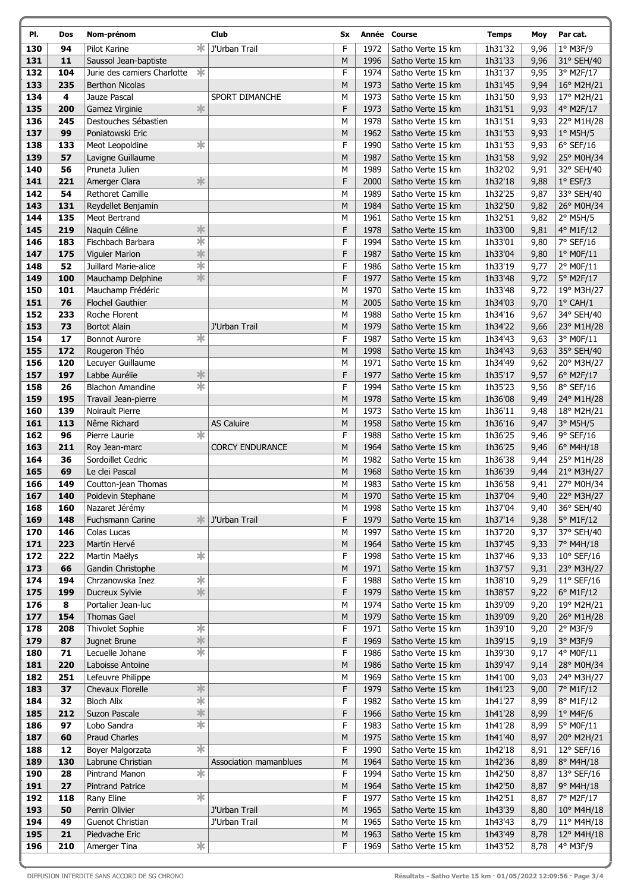| ∗<br>F<br>130<br>94<br>Pilot Karine<br>J'Urban Trail<br>1972<br>Satho Verte 15 km<br>1h31'32<br>1° M3F/9<br>9,96<br>11<br>M<br>1h31'33<br>131<br>Saussol Jean-baptiste<br>1996<br>Satho Verte 15 km<br>9,96<br>*<br>F<br>132<br>104<br>1974<br>1h31'37<br>9,95<br>Jurie des camiers Charlotte<br>Satho Verte 15 km<br>133<br>235<br>M<br>1973<br>1h31'45<br>9,94<br><b>Berthon Nicolas</b><br>Satho Verte 15 km<br>134<br>4<br>Jauze Pascal<br>SPORT DIMANCHE<br>M<br>1973<br>1h31'50<br>9,93<br>Satho Verte 15 km<br>$\ast$<br>F<br>135<br>200<br>Gamez Virginie<br>1973<br>1h31'51<br>9,93<br>4° M2F/17<br>Satho Verte 15 km<br>136<br>245<br>Destouches Sébastien<br>M<br>1978<br>1h31'51<br>Satho Verte 15 km<br>9,93<br>137<br>99<br>M<br>Poniatowski Eric<br>1962<br>Satho Verte 15 km<br>1h31'53<br>9,93<br>$1^\circ$ M5H/5<br>☀<br>133<br>F<br>138<br>1990<br>Satho Verte 15 km<br>1h31'53<br>$6°$ SEF/16<br>Meot Leopoldine<br>9,93<br>139<br>57<br>M<br>Lavigne Guillaume<br>1987<br>1h31'58<br>9,92<br>25° M0H/34<br>Satho Verte 15 km<br>1h32'02<br>32° SEH/40<br>140<br>56<br>Pruneta Julien<br>M<br>1989<br>Satho Verte 15 km<br>9,91<br>$\frac{1}{2}$<br>F<br>141<br>221<br>2000<br>1h32'18<br>$1°$ ESF/3<br>Amerger Clara<br>Satho Verte 15 km<br>9,88<br>142<br>54<br>M<br>1h32'25<br><b>Rethoret Camille</b><br>1989<br>9,87<br>33° SEH/40<br>Satho Verte 15 km<br>143<br>131<br>M<br>1984<br>1h32'50<br>9,82<br>26° M0H/34<br>Reydellet Benjamin<br>Satho Verte 15 km<br>144<br>135<br>M<br>1961<br>Satho Verte 15 km<br>1h32'51<br>9,82<br>$2°$ M5H/5<br>Meot Bertrand<br>$\frac{1}{2}$<br>F<br>145<br>219<br>Naquin Céline<br>1978<br>1h33'00<br>9,81<br>Satho Verte 15 km<br>4° M1F/12<br>$\overline{\ast}$<br>F<br>146<br>183<br>Fischbach Barbara<br>1994<br>Satho Verte 15 km<br>1h33'01<br>9,80<br>7° SEF/16<br>$\frac{1}{2}$<br>F<br>147<br>175<br>1987<br>Satho Verte 15 km<br>1h33'04<br><b>Viguier Marion</b><br>9,80<br>$1°$ MOF/11<br>$\overline{\ast}$<br>F<br>148<br>52<br>Juillard Marie-alice<br>1986<br>Satho Verte 15 km<br>1h33'19<br>9,77<br>2° M0F/11<br>$\frac{1}{2}$<br>F<br>149<br>100<br>1977<br>1h33'48<br>5° M2F/17<br>Mauchamp Delphine<br>Satho Verte 15 km<br>9,72<br>M<br>150<br>101<br>Mauchamp Frédéric<br>1970<br>Satho Verte 15 km<br>1h33'48<br>9,72<br>151<br>76<br>M<br>2005<br>1h34'03<br>$1^{\circ}$ CAH/1<br><b>Flochel Gauthier</b><br>Satho Verte 15 km<br>9,70<br>233<br>152<br>Roche Florent<br>M<br>1988<br>1h34'16<br>9,67<br>Satho Verte 15 km<br>153<br>73<br><b>Bortot Alain</b><br>M<br>1979<br>1h34'22<br>J'Urban Trail<br>Satho Verte 15 km<br>9,66<br>☀<br>F<br>154<br>17<br><b>Bonnot Aurore</b><br>1987<br>1h34'43<br>9,63<br>Satho Verte 15 km<br>155<br>172<br>Rougeron Théo<br>M<br>1998<br>1h34'43<br>9,63<br>Satho Verte 15 km<br>156<br>120<br>M<br>1971<br>Satho Verte 15 km<br>1h34'49<br>Lecuyer Guillaume<br>9,62<br>$\frac{1}{2}$<br>F<br>157<br>197<br>Labbe Aurélie<br>1977<br>1h35'17<br>Satho Verte 15 km<br>9,57<br>$\overline{\ast}$<br>F<br>158<br>26<br><b>Blachon Amandine</b><br>1994<br>1h35'23<br>$8°$ SEF/16<br>Satho Verte 15 km<br>9,56<br>159<br>M<br>195<br>1978<br>1h36'08<br>Travail Jean-pierre<br>Satho Verte 15 km<br>9,49<br>139<br>1h36'11<br>160<br>Noirault Pierre<br>M<br>1973<br>Satho Verte 15 km<br>9,48<br>1h36'16<br>161<br>113<br>Nême Richard<br><b>AS Caluire</b><br>M<br>1958<br>3° M5H/5<br>Satho Verte 15 km<br>9,47<br>$\overline{\ast}$<br>F<br>162<br>96<br>1988<br>1h36'25<br>9,46<br>$9°$ SEF/16<br>Pierre Laurie<br>Satho Verte 15 km<br>163<br>211<br><b>CORCY ENDURANCE</b><br>M<br>1964<br>1h36'25<br>9,46<br>$6^{\circ}$ M4H/18<br>Roy Jean-marc<br>Satho Verte 15 km<br>164<br>36<br>M<br>1982<br>1h36'38<br>Sordoillet Cedric<br>Satho Verte 15 km<br>9,44<br>165<br>69<br>Le clei Pascal<br>M<br>1968<br>1h36'39<br>9,44<br>21° M3H/27<br>Satho Verte 15 km<br>166<br>149<br>M<br>1983<br>Satho Verte 15 km<br>1h36'58<br>Coutton-jean Thomas<br>9,41<br>27° M0H/34<br>167<br>140<br>M<br>1970<br>1h37'04<br>9,40<br>22° M3H/27<br>Poidevin Stephane<br>Satho Verte 15 km<br>168<br>Nazaret Jérémy<br>M<br>1h37'04<br>36° SEH/40<br>160<br>1998<br>Satho Verte 15 km<br>9,40<br>F<br>169<br>148<br>Fuchsmann Carine<br>J'Urban Trail<br>1979<br>Satho Verte 15 km<br>1h37'14<br>5° M1F/12<br>≭<br>9,38<br>170<br>146<br>Colas Lucas<br>M<br>1997<br>Satho Verte 15 km<br>1h37'20<br>37° SEH/40<br>9,37<br>171<br>223<br>M<br>1h37'45<br>7° M4H/18<br>Martin Hervé<br>1964<br>Satho Verte 15 km<br>9,33<br>$\overline{\ast}$<br>F<br>172<br>Satho Verte 15 km<br>1h37'46<br>222<br>Martin Maëlys<br>1998<br>9,33<br>$10^{\circ}$ SEF/16<br>173<br>66<br>Gandin Christophe<br>M<br>1971<br>Satho Verte 15 km<br>1h37'57<br>23° M3H/27<br>9,31<br>$\ast$<br>F<br>174<br>194<br>Chrzanowska Inez<br>1988<br>Satho Verte 15 km<br>1h38'10<br>9,29<br>$11^{\circ}$ SEF/16<br>*<br>F<br>175<br>199<br>Ducreux Sylvie<br>1979<br>Satho Verte 15 km<br>1h38'57<br>9,22<br>6° M1F/12<br>176<br>8<br>Portalier Jean-luc<br>1974<br>Satho Verte 15 km<br>1h39'09<br>9,20<br>М<br>177<br>${\sf M}$<br>154<br><b>Thomas Gael</b><br>1979<br>Satho Verte 15 km<br>1h39'09<br>9,20<br>$\overline{\ast}$<br>F<br>178<br>208<br>Thivolet Sophie<br>1971<br>Satho Verte 15 km<br>2° M3F/9<br>1h39'10<br>9,20<br>$\frac{1}{2}$<br>F<br>179<br>87<br>Jugnet Brune<br>1969<br>Satho Verte 15 km<br>1h39'15<br>3° M3F/9<br>9,19<br>☀<br>F<br>180<br>71<br>Lecuelle Johane<br>1986<br>Satho Verte 15 km<br>1h39'30<br>9,17<br>181<br>220<br>Laboisse Antoine<br>M<br>1986<br>1h39'47<br>Satho Verte 15 km<br>9,14<br>251<br>Lefeuvre Philippe<br>M<br>1969<br>Satho Verte 15 km<br>1h41'00<br>182<br>9,03<br>$\frac{1}{2}$<br>183<br>F<br>37<br>1979<br>1h41'23<br>9,00<br>7° M1F/12<br>Chevaux Florelle<br>Satho Verte 15 km<br>$\overline{\ast}$<br>F<br>184<br>32<br><b>Bloch Alix</b><br>1982<br>Satho Verte 15 km<br>1h41'27<br>8° M1F/12<br>8,99<br>$\frac{1}{2}$<br>185<br>F<br>212<br>Suzon Pascale<br>1966<br>Satho Verte 15 km<br>1h41'28<br>$1^\circ$ M4F/6<br>8,99<br>$\overline{\ast}$<br>F<br>186<br>97<br>Lobo Sandra<br>1983<br>Satho Verte 15 km<br>1h41'28<br>8,99<br>5° M0F/11<br>187<br>60<br><b>Praud Charles</b><br>${\sf M}$<br>1975<br>Satho Verte 15 km<br>1h41'40<br>8,97<br>20° M2H/21<br>$\overline{\ast}$<br>F<br>188<br>12<br>1990<br>Satho Verte 15 km<br>1h42'18<br>Boyer Malgorzata<br>8,91<br>12° SEF/16<br>${\sf M}$<br>189<br>130<br>1964<br>Satho Verte 15 km<br>1h42'36<br>Labrune Christian<br>Association mamanblues<br>8,89<br>8° M4H/18<br>$\frac{1}{\sqrt{2}}$<br>F<br>190<br>Pintrand Manon<br>1994<br>Satho Verte 15 km<br>1h42'50<br>13° SEF/16<br>28<br>8,87<br>191<br>27<br><b>Pintrand Patrice</b><br>M<br>1964<br>Satho Verte 15 km<br>1h42'50<br>9° M4H/18<br>8,87<br>$\overline{\ast}$<br>F<br>192<br>118<br>1977<br>Satho Verte 15 km<br>1h42'51<br>Rany Eline<br>8,87<br>7° M2F/17<br>193<br>50<br>Perrin Olivier<br>J'Urban Trail<br>M<br>1965<br>Satho Verte 15 km<br>1h43'39<br>8,80<br>10° M4H/18<br>194<br>49<br>Guenot Christian<br>J'Urban Trail<br>1965<br>1h43'43<br>М<br>Satho Verte 15 km<br>8,79<br>195<br>21<br>M<br>1963<br>Satho Verte 15 km<br>1h43'49<br>8,78<br>Piedvache Eric | PI. | Dos | Nom-prénom             | Club | Sx |      | Année Course | <b>Temps</b> | Moy  | Par cat.   |
|--------------------------------------------------------------------------------------------------------------------------------------------------------------------------------------------------------------------------------------------------------------------------------------------------------------------------------------------------------------------------------------------------------------------------------------------------------------------------------------------------------------------------------------------------------------------------------------------------------------------------------------------------------------------------------------------------------------------------------------------------------------------------------------------------------------------------------------------------------------------------------------------------------------------------------------------------------------------------------------------------------------------------------------------------------------------------------------------------------------------------------------------------------------------------------------------------------------------------------------------------------------------------------------------------------------------------------------------------------------------------------------------------------------------------------------------------------------------------------------------------------------------------------------------------------------------------------------------------------------------------------------------------------------------------------------------------------------------------------------------------------------------------------------------------------------------------------------------------------------------------------------------------------------------------------------------------------------------------------------------------------------------------------------------------------------------------------------------------------------------------------------------------------------------------------------------------------------------------------------------------------------------------------------------------------------------------------------------------------------------------------------------------------------------------------------------------------------------------------------------------------------------------------------------------------------------------------------------------------------------------------------------------------------------------------------------------------------------------------------------------------------------------------------------------------------------------------------------------------------------------------------------------------------------------------------------------------------------------------------------------------------------------------------------------------------------------------------------------------------------------------------------------------------------------------------------------------------------------------------------------------------------------------------------------------------------------------------------------------------------------------------------------------------------------------------------------------------------------------------------------------------------------------------------------------------------------------------------------------------------------------------------------------------------------------------------------------------------------------------------------------------------------------------------------------------------------------------------------------------------------------------------------------------------------------------------------------------------------------------------------------------------------------------------------------------------------------------------------------------------------------------------------------------------------------------------------------------------------------------------------------------------------------------------------------------------------------------------------------------------------------------------------------------------------------------------------------------------------------------------------------------------------------------------------------------------------------------------------------------------------------------------------------------------------------------------------------------------------------------------------------------------------------------------------------------------------------------------------------------------------------------------------------------------------------------------------------------------------------------------------------------------------------------------------------------------------------------------------------------------------------------------------------------------------------------------------------------------------------------------------------------------------------------------------------------------------------------------------------------------------------------------------------------------------------------------------------------------------------------------------------------------------------------------------------------------------------------------------------------------------------------------------------------------------------------------------------------------------------------------------------------------------------------------------------------------------------------------------------------------------------------------------------------------------------------------------------------------------------------------------------------------------------------------------------------------------------------------------------------------------------------------------------------------------------------------------------------------------------------------------------------------------------------------------------------------------------------------------------------------------------------------------------------------------------------------------------------------------------------------------------------------------------------------------------------------------------------------------------------------------------------------------------------------------------------------------------------------------------------------------------------------------------------------------------------------------------------------------------------------------------------------------------------------------------------------------------------------------------------------------------------------------------------------------------------------------------------------------------------------------------------------------------------------------------------------------------------------------------------------------------------------------|-----|-----|------------------------|------|----|------|--------------|--------------|------|------------|
|                                                                                                                                                                                                                                                                                                                                                                                                                                                                                                                                                                                                                                                                                                                                                                                                                                                                                                                                                                                                                                                                                                                                                                                                                                                                                                                                                                                                                                                                                                                                                                                                                                                                                                                                                                                                                                                                                                                                                                                                                                                                                                                                                                                                                                                                                                                                                                                                                                                                                                                                                                                                                                                                                                                                                                                                                                                                                                                                                                                                                                                                                                                                                                                                                                                                                                                                                                                                                                                                                                                                                                                                                                                                                                                                                                                                                                                                                                                                                                                                                                                                                                                                                                                                                                                                                                                                                                                                                                                                                                                                                                                                                                                                                                                                                                                                                                                                                                                                                                                                                                                                                                                                                                                                                                                                                                                                                                                                                                                                                                                                                                                                                                                                                                                                                                                                                                                                                                                                                                                                                                                                                                                                                                                                                                                                                                                                                                                                                                                                                                                                                                                                                                                                                                                                                                                                                                                                                                                                                                                                                                                                                                                                                                                                                                                                          |     |     |                        |      |    |      |              |              |      |            |
|                                                                                                                                                                                                                                                                                                                                                                                                                                                                                                                                                                                                                                                                                                                                                                                                                                                                                                                                                                                                                                                                                                                                                                                                                                                                                                                                                                                                                                                                                                                                                                                                                                                                                                                                                                                                                                                                                                                                                                                                                                                                                                                                                                                                                                                                                                                                                                                                                                                                                                                                                                                                                                                                                                                                                                                                                                                                                                                                                                                                                                                                                                                                                                                                                                                                                                                                                                                                                                                                                                                                                                                                                                                                                                                                                                                                                                                                                                                                                                                                                                                                                                                                                                                                                                                                                                                                                                                                                                                                                                                                                                                                                                                                                                                                                                                                                                                                                                                                                                                                                                                                                                                                                                                                                                                                                                                                                                                                                                                                                                                                                                                                                                                                                                                                                                                                                                                                                                                                                                                                                                                                                                                                                                                                                                                                                                                                                                                                                                                                                                                                                                                                                                                                                                                                                                                                                                                                                                                                                                                                                                                                                                                                                                                                                                                                          |     |     |                        |      |    |      |              |              |      | 31° SEH/40 |
|                                                                                                                                                                                                                                                                                                                                                                                                                                                                                                                                                                                                                                                                                                                                                                                                                                                                                                                                                                                                                                                                                                                                                                                                                                                                                                                                                                                                                                                                                                                                                                                                                                                                                                                                                                                                                                                                                                                                                                                                                                                                                                                                                                                                                                                                                                                                                                                                                                                                                                                                                                                                                                                                                                                                                                                                                                                                                                                                                                                                                                                                                                                                                                                                                                                                                                                                                                                                                                                                                                                                                                                                                                                                                                                                                                                                                                                                                                                                                                                                                                                                                                                                                                                                                                                                                                                                                                                                                                                                                                                                                                                                                                                                                                                                                                                                                                                                                                                                                                                                                                                                                                                                                                                                                                                                                                                                                                                                                                                                                                                                                                                                                                                                                                                                                                                                                                                                                                                                                                                                                                                                                                                                                                                                                                                                                                                                                                                                                                                                                                                                                                                                                                                                                                                                                                                                                                                                                                                                                                                                                                                                                                                                                                                                                                                                          |     |     |                        |      |    |      |              |              |      | 3° M2F/17  |
|                                                                                                                                                                                                                                                                                                                                                                                                                                                                                                                                                                                                                                                                                                                                                                                                                                                                                                                                                                                                                                                                                                                                                                                                                                                                                                                                                                                                                                                                                                                                                                                                                                                                                                                                                                                                                                                                                                                                                                                                                                                                                                                                                                                                                                                                                                                                                                                                                                                                                                                                                                                                                                                                                                                                                                                                                                                                                                                                                                                                                                                                                                                                                                                                                                                                                                                                                                                                                                                                                                                                                                                                                                                                                                                                                                                                                                                                                                                                                                                                                                                                                                                                                                                                                                                                                                                                                                                                                                                                                                                                                                                                                                                                                                                                                                                                                                                                                                                                                                                                                                                                                                                                                                                                                                                                                                                                                                                                                                                                                                                                                                                                                                                                                                                                                                                                                                                                                                                                                                                                                                                                                                                                                                                                                                                                                                                                                                                                                                                                                                                                                                                                                                                                                                                                                                                                                                                                                                                                                                                                                                                                                                                                                                                                                                                                          |     |     |                        |      |    |      |              |              |      | 16° M2H/21 |
|                                                                                                                                                                                                                                                                                                                                                                                                                                                                                                                                                                                                                                                                                                                                                                                                                                                                                                                                                                                                                                                                                                                                                                                                                                                                                                                                                                                                                                                                                                                                                                                                                                                                                                                                                                                                                                                                                                                                                                                                                                                                                                                                                                                                                                                                                                                                                                                                                                                                                                                                                                                                                                                                                                                                                                                                                                                                                                                                                                                                                                                                                                                                                                                                                                                                                                                                                                                                                                                                                                                                                                                                                                                                                                                                                                                                                                                                                                                                                                                                                                                                                                                                                                                                                                                                                                                                                                                                                                                                                                                                                                                                                                                                                                                                                                                                                                                                                                                                                                                                                                                                                                                                                                                                                                                                                                                                                                                                                                                                                                                                                                                                                                                                                                                                                                                                                                                                                                                                                                                                                                                                                                                                                                                                                                                                                                                                                                                                                                                                                                                                                                                                                                                                                                                                                                                                                                                                                                                                                                                                                                                                                                                                                                                                                                                                          |     |     |                        |      |    |      |              |              |      | 17° M2H/21 |
|                                                                                                                                                                                                                                                                                                                                                                                                                                                                                                                                                                                                                                                                                                                                                                                                                                                                                                                                                                                                                                                                                                                                                                                                                                                                                                                                                                                                                                                                                                                                                                                                                                                                                                                                                                                                                                                                                                                                                                                                                                                                                                                                                                                                                                                                                                                                                                                                                                                                                                                                                                                                                                                                                                                                                                                                                                                                                                                                                                                                                                                                                                                                                                                                                                                                                                                                                                                                                                                                                                                                                                                                                                                                                                                                                                                                                                                                                                                                                                                                                                                                                                                                                                                                                                                                                                                                                                                                                                                                                                                                                                                                                                                                                                                                                                                                                                                                                                                                                                                                                                                                                                                                                                                                                                                                                                                                                                                                                                                                                                                                                                                                                                                                                                                                                                                                                                                                                                                                                                                                                                                                                                                                                                                                                                                                                                                                                                                                                                                                                                                                                                                                                                                                                                                                                                                                                                                                                                                                                                                                                                                                                                                                                                                                                                                                          |     |     |                        |      |    |      |              |              |      |            |
|                                                                                                                                                                                                                                                                                                                                                                                                                                                                                                                                                                                                                                                                                                                                                                                                                                                                                                                                                                                                                                                                                                                                                                                                                                                                                                                                                                                                                                                                                                                                                                                                                                                                                                                                                                                                                                                                                                                                                                                                                                                                                                                                                                                                                                                                                                                                                                                                                                                                                                                                                                                                                                                                                                                                                                                                                                                                                                                                                                                                                                                                                                                                                                                                                                                                                                                                                                                                                                                                                                                                                                                                                                                                                                                                                                                                                                                                                                                                                                                                                                                                                                                                                                                                                                                                                                                                                                                                                                                                                                                                                                                                                                                                                                                                                                                                                                                                                                                                                                                                                                                                                                                                                                                                                                                                                                                                                                                                                                                                                                                                                                                                                                                                                                                                                                                                                                                                                                                                                                                                                                                                                                                                                                                                                                                                                                                                                                                                                                                                                                                                                                                                                                                                                                                                                                                                                                                                                                                                                                                                                                                                                                                                                                                                                                                                          |     |     |                        |      |    |      |              |              |      | 22° M1H/28 |
|                                                                                                                                                                                                                                                                                                                                                                                                                                                                                                                                                                                                                                                                                                                                                                                                                                                                                                                                                                                                                                                                                                                                                                                                                                                                                                                                                                                                                                                                                                                                                                                                                                                                                                                                                                                                                                                                                                                                                                                                                                                                                                                                                                                                                                                                                                                                                                                                                                                                                                                                                                                                                                                                                                                                                                                                                                                                                                                                                                                                                                                                                                                                                                                                                                                                                                                                                                                                                                                                                                                                                                                                                                                                                                                                                                                                                                                                                                                                                                                                                                                                                                                                                                                                                                                                                                                                                                                                                                                                                                                                                                                                                                                                                                                                                                                                                                                                                                                                                                                                                                                                                                                                                                                                                                                                                                                                                                                                                                                                                                                                                                                                                                                                                                                                                                                                                                                                                                                                                                                                                                                                                                                                                                                                                                                                                                                                                                                                                                                                                                                                                                                                                                                                                                                                                                                                                                                                                                                                                                                                                                                                                                                                                                                                                                                                          |     |     |                        |      |    |      |              |              |      |            |
|                                                                                                                                                                                                                                                                                                                                                                                                                                                                                                                                                                                                                                                                                                                                                                                                                                                                                                                                                                                                                                                                                                                                                                                                                                                                                                                                                                                                                                                                                                                                                                                                                                                                                                                                                                                                                                                                                                                                                                                                                                                                                                                                                                                                                                                                                                                                                                                                                                                                                                                                                                                                                                                                                                                                                                                                                                                                                                                                                                                                                                                                                                                                                                                                                                                                                                                                                                                                                                                                                                                                                                                                                                                                                                                                                                                                                                                                                                                                                                                                                                                                                                                                                                                                                                                                                                                                                                                                                                                                                                                                                                                                                                                                                                                                                                                                                                                                                                                                                                                                                                                                                                                                                                                                                                                                                                                                                                                                                                                                                                                                                                                                                                                                                                                                                                                                                                                                                                                                                                                                                                                                                                                                                                                                                                                                                                                                                                                                                                                                                                                                                                                                                                                                                                                                                                                                                                                                                                                                                                                                                                                                                                                                                                                                                                                                          |     |     |                        |      |    |      |              |              |      |            |
|                                                                                                                                                                                                                                                                                                                                                                                                                                                                                                                                                                                                                                                                                                                                                                                                                                                                                                                                                                                                                                                                                                                                                                                                                                                                                                                                                                                                                                                                                                                                                                                                                                                                                                                                                                                                                                                                                                                                                                                                                                                                                                                                                                                                                                                                                                                                                                                                                                                                                                                                                                                                                                                                                                                                                                                                                                                                                                                                                                                                                                                                                                                                                                                                                                                                                                                                                                                                                                                                                                                                                                                                                                                                                                                                                                                                                                                                                                                                                                                                                                                                                                                                                                                                                                                                                                                                                                                                                                                                                                                                                                                                                                                                                                                                                                                                                                                                                                                                                                                                                                                                                                                                                                                                                                                                                                                                                                                                                                                                                                                                                                                                                                                                                                                                                                                                                                                                                                                                                                                                                                                                                                                                                                                                                                                                                                                                                                                                                                                                                                                                                                                                                                                                                                                                                                                                                                                                                                                                                                                                                                                                                                                                                                                                                                                                          |     |     |                        |      |    |      |              |              |      |            |
|                                                                                                                                                                                                                                                                                                                                                                                                                                                                                                                                                                                                                                                                                                                                                                                                                                                                                                                                                                                                                                                                                                                                                                                                                                                                                                                                                                                                                                                                                                                                                                                                                                                                                                                                                                                                                                                                                                                                                                                                                                                                                                                                                                                                                                                                                                                                                                                                                                                                                                                                                                                                                                                                                                                                                                                                                                                                                                                                                                                                                                                                                                                                                                                                                                                                                                                                                                                                                                                                                                                                                                                                                                                                                                                                                                                                                                                                                                                                                                                                                                                                                                                                                                                                                                                                                                                                                                                                                                                                                                                                                                                                                                                                                                                                                                                                                                                                                                                                                                                                                                                                                                                                                                                                                                                                                                                                                                                                                                                                                                                                                                                                                                                                                                                                                                                                                                                                                                                                                                                                                                                                                                                                                                                                                                                                                                                                                                                                                                                                                                                                                                                                                                                                                                                                                                                                                                                                                                                                                                                                                                                                                                                                                                                                                                                                          |     |     |                        |      |    |      |              |              |      |            |
|                                                                                                                                                                                                                                                                                                                                                                                                                                                                                                                                                                                                                                                                                                                                                                                                                                                                                                                                                                                                                                                                                                                                                                                                                                                                                                                                                                                                                                                                                                                                                                                                                                                                                                                                                                                                                                                                                                                                                                                                                                                                                                                                                                                                                                                                                                                                                                                                                                                                                                                                                                                                                                                                                                                                                                                                                                                                                                                                                                                                                                                                                                                                                                                                                                                                                                                                                                                                                                                                                                                                                                                                                                                                                                                                                                                                                                                                                                                                                                                                                                                                                                                                                                                                                                                                                                                                                                                                                                                                                                                                                                                                                                                                                                                                                                                                                                                                                                                                                                                                                                                                                                                                                                                                                                                                                                                                                                                                                                                                                                                                                                                                                                                                                                                                                                                                                                                                                                                                                                                                                                                                                                                                                                                                                                                                                                                                                                                                                                                                                                                                                                                                                                                                                                                                                                                                                                                                                                                                                                                                                                                                                                                                                                                                                                                                          |     |     |                        |      |    |      |              |              |      |            |
|                                                                                                                                                                                                                                                                                                                                                                                                                                                                                                                                                                                                                                                                                                                                                                                                                                                                                                                                                                                                                                                                                                                                                                                                                                                                                                                                                                                                                                                                                                                                                                                                                                                                                                                                                                                                                                                                                                                                                                                                                                                                                                                                                                                                                                                                                                                                                                                                                                                                                                                                                                                                                                                                                                                                                                                                                                                                                                                                                                                                                                                                                                                                                                                                                                                                                                                                                                                                                                                                                                                                                                                                                                                                                                                                                                                                                                                                                                                                                                                                                                                                                                                                                                                                                                                                                                                                                                                                                                                                                                                                                                                                                                                                                                                                                                                                                                                                                                                                                                                                                                                                                                                                                                                                                                                                                                                                                                                                                                                                                                                                                                                                                                                                                                                                                                                                                                                                                                                                                                                                                                                                                                                                                                                                                                                                                                                                                                                                                                                                                                                                                                                                                                                                                                                                                                                                                                                                                                                                                                                                                                                                                                                                                                                                                                                                          |     |     |                        |      |    |      |              |              |      |            |
|                                                                                                                                                                                                                                                                                                                                                                                                                                                                                                                                                                                                                                                                                                                                                                                                                                                                                                                                                                                                                                                                                                                                                                                                                                                                                                                                                                                                                                                                                                                                                                                                                                                                                                                                                                                                                                                                                                                                                                                                                                                                                                                                                                                                                                                                                                                                                                                                                                                                                                                                                                                                                                                                                                                                                                                                                                                                                                                                                                                                                                                                                                                                                                                                                                                                                                                                                                                                                                                                                                                                                                                                                                                                                                                                                                                                                                                                                                                                                                                                                                                                                                                                                                                                                                                                                                                                                                                                                                                                                                                                                                                                                                                                                                                                                                                                                                                                                                                                                                                                                                                                                                                                                                                                                                                                                                                                                                                                                                                                                                                                                                                                                                                                                                                                                                                                                                                                                                                                                                                                                                                                                                                                                                                                                                                                                                                                                                                                                                                                                                                                                                                                                                                                                                                                                                                                                                                                                                                                                                                                                                                                                                                                                                                                                                                                          |     |     |                        |      |    |      |              |              |      |            |
|                                                                                                                                                                                                                                                                                                                                                                                                                                                                                                                                                                                                                                                                                                                                                                                                                                                                                                                                                                                                                                                                                                                                                                                                                                                                                                                                                                                                                                                                                                                                                                                                                                                                                                                                                                                                                                                                                                                                                                                                                                                                                                                                                                                                                                                                                                                                                                                                                                                                                                                                                                                                                                                                                                                                                                                                                                                                                                                                                                                                                                                                                                                                                                                                                                                                                                                                                                                                                                                                                                                                                                                                                                                                                                                                                                                                                                                                                                                                                                                                                                                                                                                                                                                                                                                                                                                                                                                                                                                                                                                                                                                                                                                                                                                                                                                                                                                                                                                                                                                                                                                                                                                                                                                                                                                                                                                                                                                                                                                                                                                                                                                                                                                                                                                                                                                                                                                                                                                                                                                                                                                                                                                                                                                                                                                                                                                                                                                                                                                                                                                                                                                                                                                                                                                                                                                                                                                                                                                                                                                                                                                                                                                                                                                                                                                                          |     |     |                        |      |    |      |              |              |      |            |
|                                                                                                                                                                                                                                                                                                                                                                                                                                                                                                                                                                                                                                                                                                                                                                                                                                                                                                                                                                                                                                                                                                                                                                                                                                                                                                                                                                                                                                                                                                                                                                                                                                                                                                                                                                                                                                                                                                                                                                                                                                                                                                                                                                                                                                                                                                                                                                                                                                                                                                                                                                                                                                                                                                                                                                                                                                                                                                                                                                                                                                                                                                                                                                                                                                                                                                                                                                                                                                                                                                                                                                                                                                                                                                                                                                                                                                                                                                                                                                                                                                                                                                                                                                                                                                                                                                                                                                                                                                                                                                                                                                                                                                                                                                                                                                                                                                                                                                                                                                                                                                                                                                                                                                                                                                                                                                                                                                                                                                                                                                                                                                                                                                                                                                                                                                                                                                                                                                                                                                                                                                                                                                                                                                                                                                                                                                                                                                                                                                                                                                                                                                                                                                                                                                                                                                                                                                                                                                                                                                                                                                                                                                                                                                                                                                                                          |     |     |                        |      |    |      |              |              |      |            |
|                                                                                                                                                                                                                                                                                                                                                                                                                                                                                                                                                                                                                                                                                                                                                                                                                                                                                                                                                                                                                                                                                                                                                                                                                                                                                                                                                                                                                                                                                                                                                                                                                                                                                                                                                                                                                                                                                                                                                                                                                                                                                                                                                                                                                                                                                                                                                                                                                                                                                                                                                                                                                                                                                                                                                                                                                                                                                                                                                                                                                                                                                                                                                                                                                                                                                                                                                                                                                                                                                                                                                                                                                                                                                                                                                                                                                                                                                                                                                                                                                                                                                                                                                                                                                                                                                                                                                                                                                                                                                                                                                                                                                                                                                                                                                                                                                                                                                                                                                                                                                                                                                                                                                                                                                                                                                                                                                                                                                                                                                                                                                                                                                                                                                                                                                                                                                                                                                                                                                                                                                                                                                                                                                                                                                                                                                                                                                                                                                                                                                                                                                                                                                                                                                                                                                                                                                                                                                                                                                                                                                                                                                                                                                                                                                                                                          |     |     |                        |      |    |      |              |              |      |            |
|                                                                                                                                                                                                                                                                                                                                                                                                                                                                                                                                                                                                                                                                                                                                                                                                                                                                                                                                                                                                                                                                                                                                                                                                                                                                                                                                                                                                                                                                                                                                                                                                                                                                                                                                                                                                                                                                                                                                                                                                                                                                                                                                                                                                                                                                                                                                                                                                                                                                                                                                                                                                                                                                                                                                                                                                                                                                                                                                                                                                                                                                                                                                                                                                                                                                                                                                                                                                                                                                                                                                                                                                                                                                                                                                                                                                                                                                                                                                                                                                                                                                                                                                                                                                                                                                                                                                                                                                                                                                                                                                                                                                                                                                                                                                                                                                                                                                                                                                                                                                                                                                                                                                                                                                                                                                                                                                                                                                                                                                                                                                                                                                                                                                                                                                                                                                                                                                                                                                                                                                                                                                                                                                                                                                                                                                                                                                                                                                                                                                                                                                                                                                                                                                                                                                                                                                                                                                                                                                                                                                                                                                                                                                                                                                                                                                          |     |     |                        |      |    |      |              |              |      |            |
|                                                                                                                                                                                                                                                                                                                                                                                                                                                                                                                                                                                                                                                                                                                                                                                                                                                                                                                                                                                                                                                                                                                                                                                                                                                                                                                                                                                                                                                                                                                                                                                                                                                                                                                                                                                                                                                                                                                                                                                                                                                                                                                                                                                                                                                                                                                                                                                                                                                                                                                                                                                                                                                                                                                                                                                                                                                                                                                                                                                                                                                                                                                                                                                                                                                                                                                                                                                                                                                                                                                                                                                                                                                                                                                                                                                                                                                                                                                                                                                                                                                                                                                                                                                                                                                                                                                                                                                                                                                                                                                                                                                                                                                                                                                                                                                                                                                                                                                                                                                                                                                                                                                                                                                                                                                                                                                                                                                                                                                                                                                                                                                                                                                                                                                                                                                                                                                                                                                                                                                                                                                                                                                                                                                                                                                                                                                                                                                                                                                                                                                                                                                                                                                                                                                                                                                                                                                                                                                                                                                                                                                                                                                                                                                                                                                                          |     |     |                        |      |    |      |              |              |      |            |
|                                                                                                                                                                                                                                                                                                                                                                                                                                                                                                                                                                                                                                                                                                                                                                                                                                                                                                                                                                                                                                                                                                                                                                                                                                                                                                                                                                                                                                                                                                                                                                                                                                                                                                                                                                                                                                                                                                                                                                                                                                                                                                                                                                                                                                                                                                                                                                                                                                                                                                                                                                                                                                                                                                                                                                                                                                                                                                                                                                                                                                                                                                                                                                                                                                                                                                                                                                                                                                                                                                                                                                                                                                                                                                                                                                                                                                                                                                                                                                                                                                                                                                                                                                                                                                                                                                                                                                                                                                                                                                                                                                                                                                                                                                                                                                                                                                                                                                                                                                                                                                                                                                                                                                                                                                                                                                                                                                                                                                                                                                                                                                                                                                                                                                                                                                                                                                                                                                                                                                                                                                                                                                                                                                                                                                                                                                                                                                                                                                                                                                                                                                                                                                                                                                                                                                                                                                                                                                                                                                                                                                                                                                                                                                                                                                                                          |     |     |                        |      |    |      |              |              |      | 19° M3H/27 |
|                                                                                                                                                                                                                                                                                                                                                                                                                                                                                                                                                                                                                                                                                                                                                                                                                                                                                                                                                                                                                                                                                                                                                                                                                                                                                                                                                                                                                                                                                                                                                                                                                                                                                                                                                                                                                                                                                                                                                                                                                                                                                                                                                                                                                                                                                                                                                                                                                                                                                                                                                                                                                                                                                                                                                                                                                                                                                                                                                                                                                                                                                                                                                                                                                                                                                                                                                                                                                                                                                                                                                                                                                                                                                                                                                                                                                                                                                                                                                                                                                                                                                                                                                                                                                                                                                                                                                                                                                                                                                                                                                                                                                                                                                                                                                                                                                                                                                                                                                                                                                                                                                                                                                                                                                                                                                                                                                                                                                                                                                                                                                                                                                                                                                                                                                                                                                                                                                                                                                                                                                                                                                                                                                                                                                                                                                                                                                                                                                                                                                                                                                                                                                                                                                                                                                                                                                                                                                                                                                                                                                                                                                                                                                                                                                                                                          |     |     |                        |      |    |      |              |              |      |            |
|                                                                                                                                                                                                                                                                                                                                                                                                                                                                                                                                                                                                                                                                                                                                                                                                                                                                                                                                                                                                                                                                                                                                                                                                                                                                                                                                                                                                                                                                                                                                                                                                                                                                                                                                                                                                                                                                                                                                                                                                                                                                                                                                                                                                                                                                                                                                                                                                                                                                                                                                                                                                                                                                                                                                                                                                                                                                                                                                                                                                                                                                                                                                                                                                                                                                                                                                                                                                                                                                                                                                                                                                                                                                                                                                                                                                                                                                                                                                                                                                                                                                                                                                                                                                                                                                                                                                                                                                                                                                                                                                                                                                                                                                                                                                                                                                                                                                                                                                                                                                                                                                                                                                                                                                                                                                                                                                                                                                                                                                                                                                                                                                                                                                                                                                                                                                                                                                                                                                                                                                                                                                                                                                                                                                                                                                                                                                                                                                                                                                                                                                                                                                                                                                                                                                                                                                                                                                                                                                                                                                                                                                                                                                                                                                                                                                          |     |     |                        |      |    |      |              |              |      | 34° SEH/40 |
|                                                                                                                                                                                                                                                                                                                                                                                                                                                                                                                                                                                                                                                                                                                                                                                                                                                                                                                                                                                                                                                                                                                                                                                                                                                                                                                                                                                                                                                                                                                                                                                                                                                                                                                                                                                                                                                                                                                                                                                                                                                                                                                                                                                                                                                                                                                                                                                                                                                                                                                                                                                                                                                                                                                                                                                                                                                                                                                                                                                                                                                                                                                                                                                                                                                                                                                                                                                                                                                                                                                                                                                                                                                                                                                                                                                                                                                                                                                                                                                                                                                                                                                                                                                                                                                                                                                                                                                                                                                                                                                                                                                                                                                                                                                                                                                                                                                                                                                                                                                                                                                                                                                                                                                                                                                                                                                                                                                                                                                                                                                                                                                                                                                                                                                                                                                                                                                                                                                                                                                                                                                                                                                                                                                                                                                                                                                                                                                                                                                                                                                                                                                                                                                                                                                                                                                                                                                                                                                                                                                                                                                                                                                                                                                                                                                                          |     |     |                        |      |    |      |              |              |      | 23° M1H/28 |
|                                                                                                                                                                                                                                                                                                                                                                                                                                                                                                                                                                                                                                                                                                                                                                                                                                                                                                                                                                                                                                                                                                                                                                                                                                                                                                                                                                                                                                                                                                                                                                                                                                                                                                                                                                                                                                                                                                                                                                                                                                                                                                                                                                                                                                                                                                                                                                                                                                                                                                                                                                                                                                                                                                                                                                                                                                                                                                                                                                                                                                                                                                                                                                                                                                                                                                                                                                                                                                                                                                                                                                                                                                                                                                                                                                                                                                                                                                                                                                                                                                                                                                                                                                                                                                                                                                                                                                                                                                                                                                                                                                                                                                                                                                                                                                                                                                                                                                                                                                                                                                                                                                                                                                                                                                                                                                                                                                                                                                                                                                                                                                                                                                                                                                                                                                                                                                                                                                                                                                                                                                                                                                                                                                                                                                                                                                                                                                                                                                                                                                                                                                                                                                                                                                                                                                                                                                                                                                                                                                                                                                                                                                                                                                                                                                                                          |     |     |                        |      |    |      |              |              |      | 3° M0F/11  |
|                                                                                                                                                                                                                                                                                                                                                                                                                                                                                                                                                                                                                                                                                                                                                                                                                                                                                                                                                                                                                                                                                                                                                                                                                                                                                                                                                                                                                                                                                                                                                                                                                                                                                                                                                                                                                                                                                                                                                                                                                                                                                                                                                                                                                                                                                                                                                                                                                                                                                                                                                                                                                                                                                                                                                                                                                                                                                                                                                                                                                                                                                                                                                                                                                                                                                                                                                                                                                                                                                                                                                                                                                                                                                                                                                                                                                                                                                                                                                                                                                                                                                                                                                                                                                                                                                                                                                                                                                                                                                                                                                                                                                                                                                                                                                                                                                                                                                                                                                                                                                                                                                                                                                                                                                                                                                                                                                                                                                                                                                                                                                                                                                                                                                                                                                                                                                                                                                                                                                                                                                                                                                                                                                                                                                                                                                                                                                                                                                                                                                                                                                                                                                                                                                                                                                                                                                                                                                                                                                                                                                                                                                                                                                                                                                                                                          |     |     |                        |      |    |      |              |              |      | 35° SEH/40 |
|                                                                                                                                                                                                                                                                                                                                                                                                                                                                                                                                                                                                                                                                                                                                                                                                                                                                                                                                                                                                                                                                                                                                                                                                                                                                                                                                                                                                                                                                                                                                                                                                                                                                                                                                                                                                                                                                                                                                                                                                                                                                                                                                                                                                                                                                                                                                                                                                                                                                                                                                                                                                                                                                                                                                                                                                                                                                                                                                                                                                                                                                                                                                                                                                                                                                                                                                                                                                                                                                                                                                                                                                                                                                                                                                                                                                                                                                                                                                                                                                                                                                                                                                                                                                                                                                                                                                                                                                                                                                                                                                                                                                                                                                                                                                                                                                                                                                                                                                                                                                                                                                                                                                                                                                                                                                                                                                                                                                                                                                                                                                                                                                                                                                                                                                                                                                                                                                                                                                                                                                                                                                                                                                                                                                                                                                                                                                                                                                                                                                                                                                                                                                                                                                                                                                                                                                                                                                                                                                                                                                                                                                                                                                                                                                                                                                          |     |     |                        |      |    |      |              |              |      | 20° M3H/27 |
|                                                                                                                                                                                                                                                                                                                                                                                                                                                                                                                                                                                                                                                                                                                                                                                                                                                                                                                                                                                                                                                                                                                                                                                                                                                                                                                                                                                                                                                                                                                                                                                                                                                                                                                                                                                                                                                                                                                                                                                                                                                                                                                                                                                                                                                                                                                                                                                                                                                                                                                                                                                                                                                                                                                                                                                                                                                                                                                                                                                                                                                                                                                                                                                                                                                                                                                                                                                                                                                                                                                                                                                                                                                                                                                                                                                                                                                                                                                                                                                                                                                                                                                                                                                                                                                                                                                                                                                                                                                                                                                                                                                                                                                                                                                                                                                                                                                                                                                                                                                                                                                                                                                                                                                                                                                                                                                                                                                                                                                                                                                                                                                                                                                                                                                                                                                                                                                                                                                                                                                                                                                                                                                                                                                                                                                                                                                                                                                                                                                                                                                                                                                                                                                                                                                                                                                                                                                                                                                                                                                                                                                                                                                                                                                                                                                                          |     |     |                        |      |    |      |              |              |      | 6° M2F/17  |
|                                                                                                                                                                                                                                                                                                                                                                                                                                                                                                                                                                                                                                                                                                                                                                                                                                                                                                                                                                                                                                                                                                                                                                                                                                                                                                                                                                                                                                                                                                                                                                                                                                                                                                                                                                                                                                                                                                                                                                                                                                                                                                                                                                                                                                                                                                                                                                                                                                                                                                                                                                                                                                                                                                                                                                                                                                                                                                                                                                                                                                                                                                                                                                                                                                                                                                                                                                                                                                                                                                                                                                                                                                                                                                                                                                                                                                                                                                                                                                                                                                                                                                                                                                                                                                                                                                                                                                                                                                                                                                                                                                                                                                                                                                                                                                                                                                                                                                                                                                                                                                                                                                                                                                                                                                                                                                                                                                                                                                                                                                                                                                                                                                                                                                                                                                                                                                                                                                                                                                                                                                                                                                                                                                                                                                                                                                                                                                                                                                                                                                                                                                                                                                                                                                                                                                                                                                                                                                                                                                                                                                                                                                                                                                                                                                                                          |     |     |                        |      |    |      |              |              |      |            |
|                                                                                                                                                                                                                                                                                                                                                                                                                                                                                                                                                                                                                                                                                                                                                                                                                                                                                                                                                                                                                                                                                                                                                                                                                                                                                                                                                                                                                                                                                                                                                                                                                                                                                                                                                                                                                                                                                                                                                                                                                                                                                                                                                                                                                                                                                                                                                                                                                                                                                                                                                                                                                                                                                                                                                                                                                                                                                                                                                                                                                                                                                                                                                                                                                                                                                                                                                                                                                                                                                                                                                                                                                                                                                                                                                                                                                                                                                                                                                                                                                                                                                                                                                                                                                                                                                                                                                                                                                                                                                                                                                                                                                                                                                                                                                                                                                                                                                                                                                                                                                                                                                                                                                                                                                                                                                                                                                                                                                                                                                                                                                                                                                                                                                                                                                                                                                                                                                                                                                                                                                                                                                                                                                                                                                                                                                                                                                                                                                                                                                                                                                                                                                                                                                                                                                                                                                                                                                                                                                                                                                                                                                                                                                                                                                                                                          |     |     |                        |      |    |      |              |              |      | 24° M1H/28 |
|                                                                                                                                                                                                                                                                                                                                                                                                                                                                                                                                                                                                                                                                                                                                                                                                                                                                                                                                                                                                                                                                                                                                                                                                                                                                                                                                                                                                                                                                                                                                                                                                                                                                                                                                                                                                                                                                                                                                                                                                                                                                                                                                                                                                                                                                                                                                                                                                                                                                                                                                                                                                                                                                                                                                                                                                                                                                                                                                                                                                                                                                                                                                                                                                                                                                                                                                                                                                                                                                                                                                                                                                                                                                                                                                                                                                                                                                                                                                                                                                                                                                                                                                                                                                                                                                                                                                                                                                                                                                                                                                                                                                                                                                                                                                                                                                                                                                                                                                                                                                                                                                                                                                                                                                                                                                                                                                                                                                                                                                                                                                                                                                                                                                                                                                                                                                                                                                                                                                                                                                                                                                                                                                                                                                                                                                                                                                                                                                                                                                                                                                                                                                                                                                                                                                                                                                                                                                                                                                                                                                                                                                                                                                                                                                                                                                          |     |     |                        |      |    |      |              |              |      | 18° M2H/21 |
|                                                                                                                                                                                                                                                                                                                                                                                                                                                                                                                                                                                                                                                                                                                                                                                                                                                                                                                                                                                                                                                                                                                                                                                                                                                                                                                                                                                                                                                                                                                                                                                                                                                                                                                                                                                                                                                                                                                                                                                                                                                                                                                                                                                                                                                                                                                                                                                                                                                                                                                                                                                                                                                                                                                                                                                                                                                                                                                                                                                                                                                                                                                                                                                                                                                                                                                                                                                                                                                                                                                                                                                                                                                                                                                                                                                                                                                                                                                                                                                                                                                                                                                                                                                                                                                                                                                                                                                                                                                                                                                                                                                                                                                                                                                                                                                                                                                                                                                                                                                                                                                                                                                                                                                                                                                                                                                                                                                                                                                                                                                                                                                                                                                                                                                                                                                                                                                                                                                                                                                                                                                                                                                                                                                                                                                                                                                                                                                                                                                                                                                                                                                                                                                                                                                                                                                                                                                                                                                                                                                                                                                                                                                                                                                                                                                                          |     |     |                        |      |    |      |              |              |      |            |
|                                                                                                                                                                                                                                                                                                                                                                                                                                                                                                                                                                                                                                                                                                                                                                                                                                                                                                                                                                                                                                                                                                                                                                                                                                                                                                                                                                                                                                                                                                                                                                                                                                                                                                                                                                                                                                                                                                                                                                                                                                                                                                                                                                                                                                                                                                                                                                                                                                                                                                                                                                                                                                                                                                                                                                                                                                                                                                                                                                                                                                                                                                                                                                                                                                                                                                                                                                                                                                                                                                                                                                                                                                                                                                                                                                                                                                                                                                                                                                                                                                                                                                                                                                                                                                                                                                                                                                                                                                                                                                                                                                                                                                                                                                                                                                                                                                                                                                                                                                                                                                                                                                                                                                                                                                                                                                                                                                                                                                                                                                                                                                                                                                                                                                                                                                                                                                                                                                                                                                                                                                                                                                                                                                                                                                                                                                                                                                                                                                                                                                                                                                                                                                                                                                                                                                                                                                                                                                                                                                                                                                                                                                                                                                                                                                                                          |     |     |                        |      |    |      |              |              |      |            |
|                                                                                                                                                                                                                                                                                                                                                                                                                                                                                                                                                                                                                                                                                                                                                                                                                                                                                                                                                                                                                                                                                                                                                                                                                                                                                                                                                                                                                                                                                                                                                                                                                                                                                                                                                                                                                                                                                                                                                                                                                                                                                                                                                                                                                                                                                                                                                                                                                                                                                                                                                                                                                                                                                                                                                                                                                                                                                                                                                                                                                                                                                                                                                                                                                                                                                                                                                                                                                                                                                                                                                                                                                                                                                                                                                                                                                                                                                                                                                                                                                                                                                                                                                                                                                                                                                                                                                                                                                                                                                                                                                                                                                                                                                                                                                                                                                                                                                                                                                                                                                                                                                                                                                                                                                                                                                                                                                                                                                                                                                                                                                                                                                                                                                                                                                                                                                                                                                                                                                                                                                                                                                                                                                                                                                                                                                                                                                                                                                                                                                                                                                                                                                                                                                                                                                                                                                                                                                                                                                                                                                                                                                                                                                                                                                                                                          |     |     |                        |      |    |      |              |              |      |            |
|                                                                                                                                                                                                                                                                                                                                                                                                                                                                                                                                                                                                                                                                                                                                                                                                                                                                                                                                                                                                                                                                                                                                                                                                                                                                                                                                                                                                                                                                                                                                                                                                                                                                                                                                                                                                                                                                                                                                                                                                                                                                                                                                                                                                                                                                                                                                                                                                                                                                                                                                                                                                                                                                                                                                                                                                                                                                                                                                                                                                                                                                                                                                                                                                                                                                                                                                                                                                                                                                                                                                                                                                                                                                                                                                                                                                                                                                                                                                                                                                                                                                                                                                                                                                                                                                                                                                                                                                                                                                                                                                                                                                                                                                                                                                                                                                                                                                                                                                                                                                                                                                                                                                                                                                                                                                                                                                                                                                                                                                                                                                                                                                                                                                                                                                                                                                                                                                                                                                                                                                                                                                                                                                                                                                                                                                                                                                                                                                                                                                                                                                                                                                                                                                                                                                                                                                                                                                                                                                                                                                                                                                                                                                                                                                                                                                          |     |     |                        |      |    |      |              |              |      | 25° M1H/28 |
|                                                                                                                                                                                                                                                                                                                                                                                                                                                                                                                                                                                                                                                                                                                                                                                                                                                                                                                                                                                                                                                                                                                                                                                                                                                                                                                                                                                                                                                                                                                                                                                                                                                                                                                                                                                                                                                                                                                                                                                                                                                                                                                                                                                                                                                                                                                                                                                                                                                                                                                                                                                                                                                                                                                                                                                                                                                                                                                                                                                                                                                                                                                                                                                                                                                                                                                                                                                                                                                                                                                                                                                                                                                                                                                                                                                                                                                                                                                                                                                                                                                                                                                                                                                                                                                                                                                                                                                                                                                                                                                                                                                                                                                                                                                                                                                                                                                                                                                                                                                                                                                                                                                                                                                                                                                                                                                                                                                                                                                                                                                                                                                                                                                                                                                                                                                                                                                                                                                                                                                                                                                                                                                                                                                                                                                                                                                                                                                                                                                                                                                                                                                                                                                                                                                                                                                                                                                                                                                                                                                                                                                                                                                                                                                                                                                                          |     |     |                        |      |    |      |              |              |      |            |
|                                                                                                                                                                                                                                                                                                                                                                                                                                                                                                                                                                                                                                                                                                                                                                                                                                                                                                                                                                                                                                                                                                                                                                                                                                                                                                                                                                                                                                                                                                                                                                                                                                                                                                                                                                                                                                                                                                                                                                                                                                                                                                                                                                                                                                                                                                                                                                                                                                                                                                                                                                                                                                                                                                                                                                                                                                                                                                                                                                                                                                                                                                                                                                                                                                                                                                                                                                                                                                                                                                                                                                                                                                                                                                                                                                                                                                                                                                                                                                                                                                                                                                                                                                                                                                                                                                                                                                                                                                                                                                                                                                                                                                                                                                                                                                                                                                                                                                                                                                                                                                                                                                                                                                                                                                                                                                                                                                                                                                                                                                                                                                                                                                                                                                                                                                                                                                                                                                                                                                                                                                                                                                                                                                                                                                                                                                                                                                                                                                                                                                                                                                                                                                                                                                                                                                                                                                                                                                                                                                                                                                                                                                                                                                                                                                                                          |     |     |                        |      |    |      |              |              |      |            |
|                                                                                                                                                                                                                                                                                                                                                                                                                                                                                                                                                                                                                                                                                                                                                                                                                                                                                                                                                                                                                                                                                                                                                                                                                                                                                                                                                                                                                                                                                                                                                                                                                                                                                                                                                                                                                                                                                                                                                                                                                                                                                                                                                                                                                                                                                                                                                                                                                                                                                                                                                                                                                                                                                                                                                                                                                                                                                                                                                                                                                                                                                                                                                                                                                                                                                                                                                                                                                                                                                                                                                                                                                                                                                                                                                                                                                                                                                                                                                                                                                                                                                                                                                                                                                                                                                                                                                                                                                                                                                                                                                                                                                                                                                                                                                                                                                                                                                                                                                                                                                                                                                                                                                                                                                                                                                                                                                                                                                                                                                                                                                                                                                                                                                                                                                                                                                                                                                                                                                                                                                                                                                                                                                                                                                                                                                                                                                                                                                                                                                                                                                                                                                                                                                                                                                                                                                                                                                                                                                                                                                                                                                                                                                                                                                                                                          |     |     |                        |      |    |      |              |              |      |            |
|                                                                                                                                                                                                                                                                                                                                                                                                                                                                                                                                                                                                                                                                                                                                                                                                                                                                                                                                                                                                                                                                                                                                                                                                                                                                                                                                                                                                                                                                                                                                                                                                                                                                                                                                                                                                                                                                                                                                                                                                                                                                                                                                                                                                                                                                                                                                                                                                                                                                                                                                                                                                                                                                                                                                                                                                                                                                                                                                                                                                                                                                                                                                                                                                                                                                                                                                                                                                                                                                                                                                                                                                                                                                                                                                                                                                                                                                                                                                                                                                                                                                                                                                                                                                                                                                                                                                                                                                                                                                                                                                                                                                                                                                                                                                                                                                                                                                                                                                                                                                                                                                                                                                                                                                                                                                                                                                                                                                                                                                                                                                                                                                                                                                                                                                                                                                                                                                                                                                                                                                                                                                                                                                                                                                                                                                                                                                                                                                                                                                                                                                                                                                                                                                                                                                                                                                                                                                                                                                                                                                                                                                                                                                                                                                                                                                          |     |     |                        |      |    |      |              |              |      |            |
|                                                                                                                                                                                                                                                                                                                                                                                                                                                                                                                                                                                                                                                                                                                                                                                                                                                                                                                                                                                                                                                                                                                                                                                                                                                                                                                                                                                                                                                                                                                                                                                                                                                                                                                                                                                                                                                                                                                                                                                                                                                                                                                                                                                                                                                                                                                                                                                                                                                                                                                                                                                                                                                                                                                                                                                                                                                                                                                                                                                                                                                                                                                                                                                                                                                                                                                                                                                                                                                                                                                                                                                                                                                                                                                                                                                                                                                                                                                                                                                                                                                                                                                                                                                                                                                                                                                                                                                                                                                                                                                                                                                                                                                                                                                                                                                                                                                                                                                                                                                                                                                                                                                                                                                                                                                                                                                                                                                                                                                                                                                                                                                                                                                                                                                                                                                                                                                                                                                                                                                                                                                                                                                                                                                                                                                                                                                                                                                                                                                                                                                                                                                                                                                                                                                                                                                                                                                                                                                                                                                                                                                                                                                                                                                                                                                                          |     |     |                        |      |    |      |              |              |      |            |
|                                                                                                                                                                                                                                                                                                                                                                                                                                                                                                                                                                                                                                                                                                                                                                                                                                                                                                                                                                                                                                                                                                                                                                                                                                                                                                                                                                                                                                                                                                                                                                                                                                                                                                                                                                                                                                                                                                                                                                                                                                                                                                                                                                                                                                                                                                                                                                                                                                                                                                                                                                                                                                                                                                                                                                                                                                                                                                                                                                                                                                                                                                                                                                                                                                                                                                                                                                                                                                                                                                                                                                                                                                                                                                                                                                                                                                                                                                                                                                                                                                                                                                                                                                                                                                                                                                                                                                                                                                                                                                                                                                                                                                                                                                                                                                                                                                                                                                                                                                                                                                                                                                                                                                                                                                                                                                                                                                                                                                                                                                                                                                                                                                                                                                                                                                                                                                                                                                                                                                                                                                                                                                                                                                                                                                                                                                                                                                                                                                                                                                                                                                                                                                                                                                                                                                                                                                                                                                                                                                                                                                                                                                                                                                                                                                                                          |     |     |                        |      |    |      |              |              |      |            |
|                                                                                                                                                                                                                                                                                                                                                                                                                                                                                                                                                                                                                                                                                                                                                                                                                                                                                                                                                                                                                                                                                                                                                                                                                                                                                                                                                                                                                                                                                                                                                                                                                                                                                                                                                                                                                                                                                                                                                                                                                                                                                                                                                                                                                                                                                                                                                                                                                                                                                                                                                                                                                                                                                                                                                                                                                                                                                                                                                                                                                                                                                                                                                                                                                                                                                                                                                                                                                                                                                                                                                                                                                                                                                                                                                                                                                                                                                                                                                                                                                                                                                                                                                                                                                                                                                                                                                                                                                                                                                                                                                                                                                                                                                                                                                                                                                                                                                                                                                                                                                                                                                                                                                                                                                                                                                                                                                                                                                                                                                                                                                                                                                                                                                                                                                                                                                                                                                                                                                                                                                                                                                                                                                                                                                                                                                                                                                                                                                                                                                                                                                                                                                                                                                                                                                                                                                                                                                                                                                                                                                                                                                                                                                                                                                                                                          |     |     |                        |      |    |      |              |              |      |            |
|                                                                                                                                                                                                                                                                                                                                                                                                                                                                                                                                                                                                                                                                                                                                                                                                                                                                                                                                                                                                                                                                                                                                                                                                                                                                                                                                                                                                                                                                                                                                                                                                                                                                                                                                                                                                                                                                                                                                                                                                                                                                                                                                                                                                                                                                                                                                                                                                                                                                                                                                                                                                                                                                                                                                                                                                                                                                                                                                                                                                                                                                                                                                                                                                                                                                                                                                                                                                                                                                                                                                                                                                                                                                                                                                                                                                                                                                                                                                                                                                                                                                                                                                                                                                                                                                                                                                                                                                                                                                                                                                                                                                                                                                                                                                                                                                                                                                                                                                                                                                                                                                                                                                                                                                                                                                                                                                                                                                                                                                                                                                                                                                                                                                                                                                                                                                                                                                                                                                                                                                                                                                                                                                                                                                                                                                                                                                                                                                                                                                                                                                                                                                                                                                                                                                                                                                                                                                                                                                                                                                                                                                                                                                                                                                                                                                          |     |     |                        |      |    |      |              |              |      |            |
|                                                                                                                                                                                                                                                                                                                                                                                                                                                                                                                                                                                                                                                                                                                                                                                                                                                                                                                                                                                                                                                                                                                                                                                                                                                                                                                                                                                                                                                                                                                                                                                                                                                                                                                                                                                                                                                                                                                                                                                                                                                                                                                                                                                                                                                                                                                                                                                                                                                                                                                                                                                                                                                                                                                                                                                                                                                                                                                                                                                                                                                                                                                                                                                                                                                                                                                                                                                                                                                                                                                                                                                                                                                                                                                                                                                                                                                                                                                                                                                                                                                                                                                                                                                                                                                                                                                                                                                                                                                                                                                                                                                                                                                                                                                                                                                                                                                                                                                                                                                                                                                                                                                                                                                                                                                                                                                                                                                                                                                                                                                                                                                                                                                                                                                                                                                                                                                                                                                                                                                                                                                                                                                                                                                                                                                                                                                                                                                                                                                                                                                                                                                                                                                                                                                                                                                                                                                                                                                                                                                                                                                                                                                                                                                                                                                                          |     |     |                        |      |    |      |              |              |      |            |
|                                                                                                                                                                                                                                                                                                                                                                                                                                                                                                                                                                                                                                                                                                                                                                                                                                                                                                                                                                                                                                                                                                                                                                                                                                                                                                                                                                                                                                                                                                                                                                                                                                                                                                                                                                                                                                                                                                                                                                                                                                                                                                                                                                                                                                                                                                                                                                                                                                                                                                                                                                                                                                                                                                                                                                                                                                                                                                                                                                                                                                                                                                                                                                                                                                                                                                                                                                                                                                                                                                                                                                                                                                                                                                                                                                                                                                                                                                                                                                                                                                                                                                                                                                                                                                                                                                                                                                                                                                                                                                                                                                                                                                                                                                                                                                                                                                                                                                                                                                                                                                                                                                                                                                                                                                                                                                                                                                                                                                                                                                                                                                                                                                                                                                                                                                                                                                                                                                                                                                                                                                                                                                                                                                                                                                                                                                                                                                                                                                                                                                                                                                                                                                                                                                                                                                                                                                                                                                                                                                                                                                                                                                                                                                                                                                                                          |     |     |                        |      |    |      |              |              |      |            |
|                                                                                                                                                                                                                                                                                                                                                                                                                                                                                                                                                                                                                                                                                                                                                                                                                                                                                                                                                                                                                                                                                                                                                                                                                                                                                                                                                                                                                                                                                                                                                                                                                                                                                                                                                                                                                                                                                                                                                                                                                                                                                                                                                                                                                                                                                                                                                                                                                                                                                                                                                                                                                                                                                                                                                                                                                                                                                                                                                                                                                                                                                                                                                                                                                                                                                                                                                                                                                                                                                                                                                                                                                                                                                                                                                                                                                                                                                                                                                                                                                                                                                                                                                                                                                                                                                                                                                                                                                                                                                                                                                                                                                                                                                                                                                                                                                                                                                                                                                                                                                                                                                                                                                                                                                                                                                                                                                                                                                                                                                                                                                                                                                                                                                                                                                                                                                                                                                                                                                                                                                                                                                                                                                                                                                                                                                                                                                                                                                                                                                                                                                                                                                                                                                                                                                                                                                                                                                                                                                                                                                                                                                                                                                                                                                                                                          |     |     |                        |      |    |      |              |              |      | 19° M2H/21 |
|                                                                                                                                                                                                                                                                                                                                                                                                                                                                                                                                                                                                                                                                                                                                                                                                                                                                                                                                                                                                                                                                                                                                                                                                                                                                                                                                                                                                                                                                                                                                                                                                                                                                                                                                                                                                                                                                                                                                                                                                                                                                                                                                                                                                                                                                                                                                                                                                                                                                                                                                                                                                                                                                                                                                                                                                                                                                                                                                                                                                                                                                                                                                                                                                                                                                                                                                                                                                                                                                                                                                                                                                                                                                                                                                                                                                                                                                                                                                                                                                                                                                                                                                                                                                                                                                                                                                                                                                                                                                                                                                                                                                                                                                                                                                                                                                                                                                                                                                                                                                                                                                                                                                                                                                                                                                                                                                                                                                                                                                                                                                                                                                                                                                                                                                                                                                                                                                                                                                                                                                                                                                                                                                                                                                                                                                                                                                                                                                                                                                                                                                                                                                                                                                                                                                                                                                                                                                                                                                                                                                                                                                                                                                                                                                                                                                          |     |     |                        |      |    |      |              |              |      | 26° M1H/28 |
|                                                                                                                                                                                                                                                                                                                                                                                                                                                                                                                                                                                                                                                                                                                                                                                                                                                                                                                                                                                                                                                                                                                                                                                                                                                                                                                                                                                                                                                                                                                                                                                                                                                                                                                                                                                                                                                                                                                                                                                                                                                                                                                                                                                                                                                                                                                                                                                                                                                                                                                                                                                                                                                                                                                                                                                                                                                                                                                                                                                                                                                                                                                                                                                                                                                                                                                                                                                                                                                                                                                                                                                                                                                                                                                                                                                                                                                                                                                                                                                                                                                                                                                                                                                                                                                                                                                                                                                                                                                                                                                                                                                                                                                                                                                                                                                                                                                                                                                                                                                                                                                                                                                                                                                                                                                                                                                                                                                                                                                                                                                                                                                                                                                                                                                                                                                                                                                                                                                                                                                                                                                                                                                                                                                                                                                                                                                                                                                                                                                                                                                                                                                                                                                                                                                                                                                                                                                                                                                                                                                                                                                                                                                                                                                                                                                                          |     |     |                        |      |    |      |              |              |      |            |
|                                                                                                                                                                                                                                                                                                                                                                                                                                                                                                                                                                                                                                                                                                                                                                                                                                                                                                                                                                                                                                                                                                                                                                                                                                                                                                                                                                                                                                                                                                                                                                                                                                                                                                                                                                                                                                                                                                                                                                                                                                                                                                                                                                                                                                                                                                                                                                                                                                                                                                                                                                                                                                                                                                                                                                                                                                                                                                                                                                                                                                                                                                                                                                                                                                                                                                                                                                                                                                                                                                                                                                                                                                                                                                                                                                                                                                                                                                                                                                                                                                                                                                                                                                                                                                                                                                                                                                                                                                                                                                                                                                                                                                                                                                                                                                                                                                                                                                                                                                                                                                                                                                                                                                                                                                                                                                                                                                                                                                                                                                                                                                                                                                                                                                                                                                                                                                                                                                                                                                                                                                                                                                                                                                                                                                                                                                                                                                                                                                                                                                                                                                                                                                                                                                                                                                                                                                                                                                                                                                                                                                                                                                                                                                                                                                                                          |     |     |                        |      |    |      |              |              |      |            |
|                                                                                                                                                                                                                                                                                                                                                                                                                                                                                                                                                                                                                                                                                                                                                                                                                                                                                                                                                                                                                                                                                                                                                                                                                                                                                                                                                                                                                                                                                                                                                                                                                                                                                                                                                                                                                                                                                                                                                                                                                                                                                                                                                                                                                                                                                                                                                                                                                                                                                                                                                                                                                                                                                                                                                                                                                                                                                                                                                                                                                                                                                                                                                                                                                                                                                                                                                                                                                                                                                                                                                                                                                                                                                                                                                                                                                                                                                                                                                                                                                                                                                                                                                                                                                                                                                                                                                                                                                                                                                                                                                                                                                                                                                                                                                                                                                                                                                                                                                                                                                                                                                                                                                                                                                                                                                                                                                                                                                                                                                                                                                                                                                                                                                                                                                                                                                                                                                                                                                                                                                                                                                                                                                                                                                                                                                                                                                                                                                                                                                                                                                                                                                                                                                                                                                                                                                                                                                                                                                                                                                                                                                                                                                                                                                                                                          |     |     |                        |      |    |      |              |              |      | 4° M0F/11  |
|                                                                                                                                                                                                                                                                                                                                                                                                                                                                                                                                                                                                                                                                                                                                                                                                                                                                                                                                                                                                                                                                                                                                                                                                                                                                                                                                                                                                                                                                                                                                                                                                                                                                                                                                                                                                                                                                                                                                                                                                                                                                                                                                                                                                                                                                                                                                                                                                                                                                                                                                                                                                                                                                                                                                                                                                                                                                                                                                                                                                                                                                                                                                                                                                                                                                                                                                                                                                                                                                                                                                                                                                                                                                                                                                                                                                                                                                                                                                                                                                                                                                                                                                                                                                                                                                                                                                                                                                                                                                                                                                                                                                                                                                                                                                                                                                                                                                                                                                                                                                                                                                                                                                                                                                                                                                                                                                                                                                                                                                                                                                                                                                                                                                                                                                                                                                                                                                                                                                                                                                                                                                                                                                                                                                                                                                                                                                                                                                                                                                                                                                                                                                                                                                                                                                                                                                                                                                                                                                                                                                                                                                                                                                                                                                                                                                          |     |     |                        |      |    |      |              |              |      | 28° M0H/34 |
|                                                                                                                                                                                                                                                                                                                                                                                                                                                                                                                                                                                                                                                                                                                                                                                                                                                                                                                                                                                                                                                                                                                                                                                                                                                                                                                                                                                                                                                                                                                                                                                                                                                                                                                                                                                                                                                                                                                                                                                                                                                                                                                                                                                                                                                                                                                                                                                                                                                                                                                                                                                                                                                                                                                                                                                                                                                                                                                                                                                                                                                                                                                                                                                                                                                                                                                                                                                                                                                                                                                                                                                                                                                                                                                                                                                                                                                                                                                                                                                                                                                                                                                                                                                                                                                                                                                                                                                                                                                                                                                                                                                                                                                                                                                                                                                                                                                                                                                                                                                                                                                                                                                                                                                                                                                                                                                                                                                                                                                                                                                                                                                                                                                                                                                                                                                                                                                                                                                                                                                                                                                                                                                                                                                                                                                                                                                                                                                                                                                                                                                                                                                                                                                                                                                                                                                                                                                                                                                                                                                                                                                                                                                                                                                                                                                                          |     |     |                        |      |    |      |              |              |      | 24° M3H/27 |
|                                                                                                                                                                                                                                                                                                                                                                                                                                                                                                                                                                                                                                                                                                                                                                                                                                                                                                                                                                                                                                                                                                                                                                                                                                                                                                                                                                                                                                                                                                                                                                                                                                                                                                                                                                                                                                                                                                                                                                                                                                                                                                                                                                                                                                                                                                                                                                                                                                                                                                                                                                                                                                                                                                                                                                                                                                                                                                                                                                                                                                                                                                                                                                                                                                                                                                                                                                                                                                                                                                                                                                                                                                                                                                                                                                                                                                                                                                                                                                                                                                                                                                                                                                                                                                                                                                                                                                                                                                                                                                                                                                                                                                                                                                                                                                                                                                                                                                                                                                                                                                                                                                                                                                                                                                                                                                                                                                                                                                                                                                                                                                                                                                                                                                                                                                                                                                                                                                                                                                                                                                                                                                                                                                                                                                                                                                                                                                                                                                                                                                                                                                                                                                                                                                                                                                                                                                                                                                                                                                                                                                                                                                                                                                                                                                                                          |     |     |                        |      |    |      |              |              |      |            |
|                                                                                                                                                                                                                                                                                                                                                                                                                                                                                                                                                                                                                                                                                                                                                                                                                                                                                                                                                                                                                                                                                                                                                                                                                                                                                                                                                                                                                                                                                                                                                                                                                                                                                                                                                                                                                                                                                                                                                                                                                                                                                                                                                                                                                                                                                                                                                                                                                                                                                                                                                                                                                                                                                                                                                                                                                                                                                                                                                                                                                                                                                                                                                                                                                                                                                                                                                                                                                                                                                                                                                                                                                                                                                                                                                                                                                                                                                                                                                                                                                                                                                                                                                                                                                                                                                                                                                                                                                                                                                                                                                                                                                                                                                                                                                                                                                                                                                                                                                                                                                                                                                                                                                                                                                                                                                                                                                                                                                                                                                                                                                                                                                                                                                                                                                                                                                                                                                                                                                                                                                                                                                                                                                                                                                                                                                                                                                                                                                                                                                                                                                                                                                                                                                                                                                                                                                                                                                                                                                                                                                                                                                                                                                                                                                                                                          |     |     |                        |      |    |      |              |              |      |            |
|                                                                                                                                                                                                                                                                                                                                                                                                                                                                                                                                                                                                                                                                                                                                                                                                                                                                                                                                                                                                                                                                                                                                                                                                                                                                                                                                                                                                                                                                                                                                                                                                                                                                                                                                                                                                                                                                                                                                                                                                                                                                                                                                                                                                                                                                                                                                                                                                                                                                                                                                                                                                                                                                                                                                                                                                                                                                                                                                                                                                                                                                                                                                                                                                                                                                                                                                                                                                                                                                                                                                                                                                                                                                                                                                                                                                                                                                                                                                                                                                                                                                                                                                                                                                                                                                                                                                                                                                                                                                                                                                                                                                                                                                                                                                                                                                                                                                                                                                                                                                                                                                                                                                                                                                                                                                                                                                                                                                                                                                                                                                                                                                                                                                                                                                                                                                                                                                                                                                                                                                                                                                                                                                                                                                                                                                                                                                                                                                                                                                                                                                                                                                                                                                                                                                                                                                                                                                                                                                                                                                                                                                                                                                                                                                                                                                          |     |     |                        |      |    |      |              |              |      |            |
|                                                                                                                                                                                                                                                                                                                                                                                                                                                                                                                                                                                                                                                                                                                                                                                                                                                                                                                                                                                                                                                                                                                                                                                                                                                                                                                                                                                                                                                                                                                                                                                                                                                                                                                                                                                                                                                                                                                                                                                                                                                                                                                                                                                                                                                                                                                                                                                                                                                                                                                                                                                                                                                                                                                                                                                                                                                                                                                                                                                                                                                                                                                                                                                                                                                                                                                                                                                                                                                                                                                                                                                                                                                                                                                                                                                                                                                                                                                                                                                                                                                                                                                                                                                                                                                                                                                                                                                                                                                                                                                                                                                                                                                                                                                                                                                                                                                                                                                                                                                                                                                                                                                                                                                                                                                                                                                                                                                                                                                                                                                                                                                                                                                                                                                                                                                                                                                                                                                                                                                                                                                                                                                                                                                                                                                                                                                                                                                                                                                                                                                                                                                                                                                                                                                                                                                                                                                                                                                                                                                                                                                                                                                                                                                                                                                                          |     |     |                        |      |    |      |              |              |      |            |
|                                                                                                                                                                                                                                                                                                                                                                                                                                                                                                                                                                                                                                                                                                                                                                                                                                                                                                                                                                                                                                                                                                                                                                                                                                                                                                                                                                                                                                                                                                                                                                                                                                                                                                                                                                                                                                                                                                                                                                                                                                                                                                                                                                                                                                                                                                                                                                                                                                                                                                                                                                                                                                                                                                                                                                                                                                                                                                                                                                                                                                                                                                                                                                                                                                                                                                                                                                                                                                                                                                                                                                                                                                                                                                                                                                                                                                                                                                                                                                                                                                                                                                                                                                                                                                                                                                                                                                                                                                                                                                                                                                                                                                                                                                                                                                                                                                                                                                                                                                                                                                                                                                                                                                                                                                                                                                                                                                                                                                                                                                                                                                                                                                                                                                                                                                                                                                                                                                                                                                                                                                                                                                                                                                                                                                                                                                                                                                                                                                                                                                                                                                                                                                                                                                                                                                                                                                                                                                                                                                                                                                                                                                                                                                                                                                                                          |     |     |                        |      |    |      |              |              |      |            |
|                                                                                                                                                                                                                                                                                                                                                                                                                                                                                                                                                                                                                                                                                                                                                                                                                                                                                                                                                                                                                                                                                                                                                                                                                                                                                                                                                                                                                                                                                                                                                                                                                                                                                                                                                                                                                                                                                                                                                                                                                                                                                                                                                                                                                                                                                                                                                                                                                                                                                                                                                                                                                                                                                                                                                                                                                                                                                                                                                                                                                                                                                                                                                                                                                                                                                                                                                                                                                                                                                                                                                                                                                                                                                                                                                                                                                                                                                                                                                                                                                                                                                                                                                                                                                                                                                                                                                                                                                                                                                                                                                                                                                                                                                                                                                                                                                                                                                                                                                                                                                                                                                                                                                                                                                                                                                                                                                                                                                                                                                                                                                                                                                                                                                                                                                                                                                                                                                                                                                                                                                                                                                                                                                                                                                                                                                                                                                                                                                                                                                                                                                                                                                                                                                                                                                                                                                                                                                                                                                                                                                                                                                                                                                                                                                                                                          |     |     |                        |      |    |      |              |              |      |            |
|                                                                                                                                                                                                                                                                                                                                                                                                                                                                                                                                                                                                                                                                                                                                                                                                                                                                                                                                                                                                                                                                                                                                                                                                                                                                                                                                                                                                                                                                                                                                                                                                                                                                                                                                                                                                                                                                                                                                                                                                                                                                                                                                                                                                                                                                                                                                                                                                                                                                                                                                                                                                                                                                                                                                                                                                                                                                                                                                                                                                                                                                                                                                                                                                                                                                                                                                                                                                                                                                                                                                                                                                                                                                                                                                                                                                                                                                                                                                                                                                                                                                                                                                                                                                                                                                                                                                                                                                                                                                                                                                                                                                                                                                                                                                                                                                                                                                                                                                                                                                                                                                                                                                                                                                                                                                                                                                                                                                                                                                                                                                                                                                                                                                                                                                                                                                                                                                                                                                                                                                                                                                                                                                                                                                                                                                                                                                                                                                                                                                                                                                                                                                                                                                                                                                                                                                                                                                                                                                                                                                                                                                                                                                                                                                                                                                          |     |     |                        |      |    |      |              |              |      |            |
|                                                                                                                                                                                                                                                                                                                                                                                                                                                                                                                                                                                                                                                                                                                                                                                                                                                                                                                                                                                                                                                                                                                                                                                                                                                                                                                                                                                                                                                                                                                                                                                                                                                                                                                                                                                                                                                                                                                                                                                                                                                                                                                                                                                                                                                                                                                                                                                                                                                                                                                                                                                                                                                                                                                                                                                                                                                                                                                                                                                                                                                                                                                                                                                                                                                                                                                                                                                                                                                                                                                                                                                                                                                                                                                                                                                                                                                                                                                                                                                                                                                                                                                                                                                                                                                                                                                                                                                                                                                                                                                                                                                                                                                                                                                                                                                                                                                                                                                                                                                                                                                                                                                                                                                                                                                                                                                                                                                                                                                                                                                                                                                                                                                                                                                                                                                                                                                                                                                                                                                                                                                                                                                                                                                                                                                                                                                                                                                                                                                                                                                                                                                                                                                                                                                                                                                                                                                                                                                                                                                                                                                                                                                                                                                                                                                                          |     |     |                        |      |    |      |              |              |      |            |
|                                                                                                                                                                                                                                                                                                                                                                                                                                                                                                                                                                                                                                                                                                                                                                                                                                                                                                                                                                                                                                                                                                                                                                                                                                                                                                                                                                                                                                                                                                                                                                                                                                                                                                                                                                                                                                                                                                                                                                                                                                                                                                                                                                                                                                                                                                                                                                                                                                                                                                                                                                                                                                                                                                                                                                                                                                                                                                                                                                                                                                                                                                                                                                                                                                                                                                                                                                                                                                                                                                                                                                                                                                                                                                                                                                                                                                                                                                                                                                                                                                                                                                                                                                                                                                                                                                                                                                                                                                                                                                                                                                                                                                                                                                                                                                                                                                                                                                                                                                                                                                                                                                                                                                                                                                                                                                                                                                                                                                                                                                                                                                                                                                                                                                                                                                                                                                                                                                                                                                                                                                                                                                                                                                                                                                                                                                                                                                                                                                                                                                                                                                                                                                                                                                                                                                                                                                                                                                                                                                                                                                                                                                                                                                                                                                                                          |     |     |                        |      |    |      |              |              |      |            |
|                                                                                                                                                                                                                                                                                                                                                                                                                                                                                                                                                                                                                                                                                                                                                                                                                                                                                                                                                                                                                                                                                                                                                                                                                                                                                                                                                                                                                                                                                                                                                                                                                                                                                                                                                                                                                                                                                                                                                                                                                                                                                                                                                                                                                                                                                                                                                                                                                                                                                                                                                                                                                                                                                                                                                                                                                                                                                                                                                                                                                                                                                                                                                                                                                                                                                                                                                                                                                                                                                                                                                                                                                                                                                                                                                                                                                                                                                                                                                                                                                                                                                                                                                                                                                                                                                                                                                                                                                                                                                                                                                                                                                                                                                                                                                                                                                                                                                                                                                                                                                                                                                                                                                                                                                                                                                                                                                                                                                                                                                                                                                                                                                                                                                                                                                                                                                                                                                                                                                                                                                                                                                                                                                                                                                                                                                                                                                                                                                                                                                                                                                                                                                                                                                                                                                                                                                                                                                                                                                                                                                                                                                                                                                                                                                                                                          |     |     |                        |      |    |      |              |              |      |            |
|                                                                                                                                                                                                                                                                                                                                                                                                                                                                                                                                                                                                                                                                                                                                                                                                                                                                                                                                                                                                                                                                                                                                                                                                                                                                                                                                                                                                                                                                                                                                                                                                                                                                                                                                                                                                                                                                                                                                                                                                                                                                                                                                                                                                                                                                                                                                                                                                                                                                                                                                                                                                                                                                                                                                                                                                                                                                                                                                                                                                                                                                                                                                                                                                                                                                                                                                                                                                                                                                                                                                                                                                                                                                                                                                                                                                                                                                                                                                                                                                                                                                                                                                                                                                                                                                                                                                                                                                                                                                                                                                                                                                                                                                                                                                                                                                                                                                                                                                                                                                                                                                                                                                                                                                                                                                                                                                                                                                                                                                                                                                                                                                                                                                                                                                                                                                                                                                                                                                                                                                                                                                                                                                                                                                                                                                                                                                                                                                                                                                                                                                                                                                                                                                                                                                                                                                                                                                                                                                                                                                                                                                                                                                                                                                                                                                          |     |     |                        |      |    |      |              |              |      | 11° M4H/18 |
|                                                                                                                                                                                                                                                                                                                                                                                                                                                                                                                                                                                                                                                                                                                                                                                                                                                                                                                                                                                                                                                                                                                                                                                                                                                                                                                                                                                                                                                                                                                                                                                                                                                                                                                                                                                                                                                                                                                                                                                                                                                                                                                                                                                                                                                                                                                                                                                                                                                                                                                                                                                                                                                                                                                                                                                                                                                                                                                                                                                                                                                                                                                                                                                                                                                                                                                                                                                                                                                                                                                                                                                                                                                                                                                                                                                                                                                                                                                                                                                                                                                                                                                                                                                                                                                                                                                                                                                                                                                                                                                                                                                                                                                                                                                                                                                                                                                                                                                                                                                                                                                                                                                                                                                                                                                                                                                                                                                                                                                                                                                                                                                                                                                                                                                                                                                                                                                                                                                                                                                                                                                                                                                                                                                                                                                                                                                                                                                                                                                                                                                                                                                                                                                                                                                                                                                                                                                                                                                                                                                                                                                                                                                                                                                                                                                                          |     |     |                        |      |    |      |              |              |      | 12° M4H/18 |
| Satho Verte 15 km                                                                                                                                                                                                                                                                                                                                                                                                                                                                                                                                                                                                                                                                                                                                                                                                                                                                                                                                                                                                                                                                                                                                                                                                                                                                                                                                                                                                                                                                                                                                                                                                                                                                                                                                                                                                                                                                                                                                                                                                                                                                                                                                                                                                                                                                                                                                                                                                                                                                                                                                                                                                                                                                                                                                                                                                                                                                                                                                                                                                                                                                                                                                                                                                                                                                                                                                                                                                                                                                                                                                                                                                                                                                                                                                                                                                                                                                                                                                                                                                                                                                                                                                                                                                                                                                                                                                                                                                                                                                                                                                                                                                                                                                                                                                                                                                                                                                                                                                                                                                                                                                                                                                                                                                                                                                                                                                                                                                                                                                                                                                                                                                                                                                                                                                                                                                                                                                                                                                                                                                                                                                                                                                                                                                                                                                                                                                                                                                                                                                                                                                                                                                                                                                                                                                                                                                                                                                                                                                                                                                                                                                                                                                                                                                                                                        | 196 | 210 | $\ast$<br>Amerger Tina |      | F  | 1969 |              | 1h43'52      | 8,78 | 4° M3F/9   |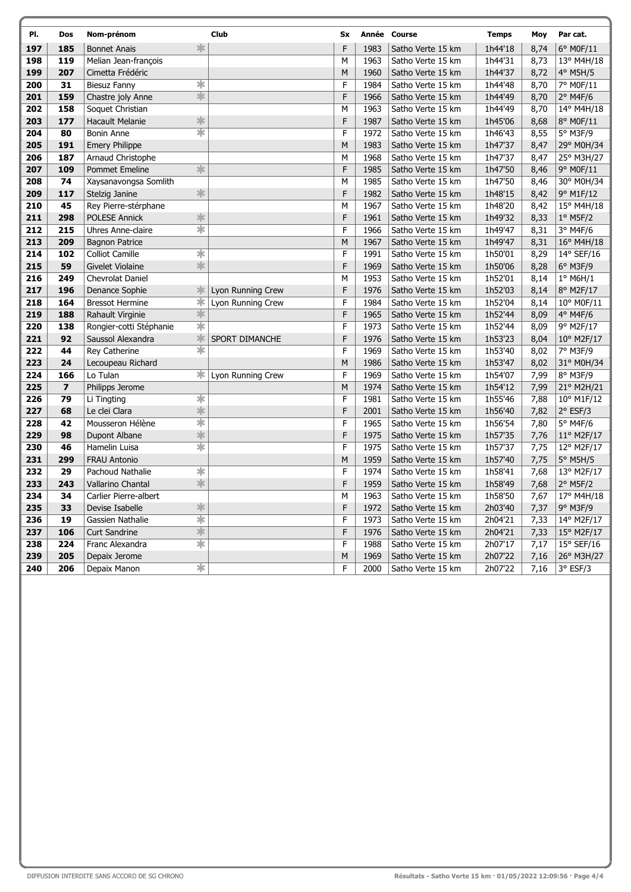| PI. | Dos                     | Nom-prénom                                   | <b>Club</b>       | Sx             |      | Année Course      | <b>Temps</b> | Moy  | Par cat.            |
|-----|-------------------------|----------------------------------------------|-------------------|----------------|------|-------------------|--------------|------|---------------------|
| 197 | 185                     | 氺<br><b>Bonnet Anais</b>                     |                   | F              | 1983 | Satho Verte 15 km | 1h44'18      | 8,74 | 6° M0F/11           |
| 198 | 119                     | Melian Jean-francois                         |                   | M              | 1963 | Satho Verte 15 km | 1h44'31      | 8,73 | 13° M4H/18          |
| 199 | 207                     | Cimetta Frédéric                             |                   | M              | 1960 | Satho Verte 15 km | 1h44'37      | 8,72 | 4° M5H/5            |
| 200 | 31                      | ∗<br><b>Biesuz Fanny</b>                     |                   | F              | 1984 | Satho Verte 15 km | 1h44'48      | 8,70 | 7° M0F/11           |
| 201 | 159                     | $\ast$<br>Chastre joly Anne                  |                   | F              | 1966 | Satho Verte 15 km | 1h44'49      | 8,70 | $2°$ M4F/6          |
| 202 | 158                     | Soquet Christian                             |                   | M              | 1963 | Satho Verte 15 km | 1h44'49      | 8,70 | 14° M4H/18          |
| 203 | 177                     | $\frac{1}{2}$<br><b>Hacault Melanie</b>      |                   | F              | 1987 | Satho Verte 15 km | 1h45'06      | 8,68 | 8° M0F/11           |
| 204 | 80                      | $\overline{\ast}$<br><b>Bonin Anne</b>       |                   | F              | 1972 | Satho Verte 15 km | 1h46'43      | 8,55 | 5° M3F/9            |
| 205 | 191                     | <b>Emery Philippe</b>                        |                   | M              | 1983 | Satho Verte 15 km | 1h47'37      | 8,47 | 29° M0H/34          |
| 206 | 187                     | Arnaud Christophe                            |                   | M              | 1968 | Satho Verte 15 km | 1h47'37      | 8,47 | 25° M3H/27          |
| 207 | 109                     | $\frac{1}{2}$<br><b>Pommet Emeline</b>       |                   | F              | 1985 | Satho Verte 15 km | 1h47'50      | 8,46 | 9° M0F/11           |
| 208 | 74                      | Xaysanavongsa Somlith                        |                   | M              | 1985 | Satho Verte 15 km | 1h47'50      | 8,46 | 30° M0H/34          |
| 209 | 117                     | $\ast$<br>Stelzig Janine                     |                   | F              | 1982 | Satho Verte 15 km | 1h48'15      | 8,42 | 9° M1F/12           |
| 210 | 45                      | Rey Pierre-stérphane                         |                   | M              | 1967 | Satho Verte 15 km | 1h48'20      | 8,42 | 15° M4H/18          |
| 211 | 298                     | $\frac{1}{2}$<br>POLESE Annick               |                   | F              | 1961 | Satho Verte 15 km | 1h49'32      | 8,33 | $1°$ M5F/2          |
| 212 | 215                     | $\overline{\ast}$<br>Uhres Anne-claire       |                   | F              | 1966 | Satho Verte 15 km | 1h49'47      | 8,31 | 3° M4F/6            |
| 213 | 209                     | <b>Bagnon Patrice</b>                        |                   | M              | 1967 | Satho Verte 15 km | 1h49'47      | 8,31 | 16° M4H/18          |
| 214 | 102                     | $\overline{\ast}$<br><b>Colliot Camille</b>  |                   | F              | 1991 | Satho Verte 15 km | 1h50'01      | 8,29 | 14° SEF/16          |
| 215 | 59                      | $\frac{1}{2}$<br>Givelet Violaine            |                   | F              | 1969 | Satho Verte 15 km | 1h50'06      | 8,28 | 6° M3F/9            |
| 216 | 249                     | Chevrolat Daniel                             |                   | M              | 1953 | Satho Verte 15 km | 1h52'01      | 8,14 | $1°$ M6H/1          |
| 217 | 196                     | ∗<br>Denance Sophie                          | Lyon Running Crew | F              | 1976 | Satho Verte 15 km | 1h52'03      | 8,14 | 8° M2F/17           |
| 218 | 164                     | ∗<br><b>Bressot Hermine</b>                  | Lyon Running Crew | F              | 1984 | Satho Verte 15 km | 1h52'04      | 8,14 | 10° M0F/11          |
| 219 | 188                     | *<br>Rahault Virginie                        |                   | F              | 1965 | Satho Verte 15 km | 1h52'44      | 8,09 | $4^{\circ}$ M4F/6   |
| 220 | 138                     | $\overline{\ast}$<br>Rongier-cotti Stéphanie |                   | F              | 1973 | Satho Verte 15 km | 1h52'44      | 8,09 | 9° M2F/17           |
| 221 | 92                      | $\ast$<br>Saussol Alexandra                  | SPORT DIMANCHE    | F              | 1976 | Satho Verte 15 km | 1h53'23      | 8,04 | 10° M2F/17          |
| 222 | 44                      | $\frac{1}{\sqrt{2}}$<br>Rey Catherine        |                   | F              | 1969 | Satho Verte 15 km | 1h53'40      | 8,02 | 7° M3F/9            |
| 223 | 24                      | Lecoupeau Richard                            |                   | M              | 1986 | Satho Verte 15 km | 1h53'47      | 8,02 | 31° M0H/34          |
| 224 | 166                     | Lo Tulan<br>$\ast$                           | Lyon Running Crew | F              | 1969 | Satho Verte 15 km | 1h54'07      | 7,99 | 8° M3F/9            |
| 225 | $\overline{\mathbf{z}}$ | Philipps Jerome                              |                   | M              | 1974 | Satho Verte 15 km | 1h54'12      | 7,99 | 21° M2H/21          |
| 226 | 79                      | $\overline{\ast}$<br>Li Tingting             |                   | F              | 1981 | Satho Verte 15 km | 1h55'46      | 7,88 | 10° M1F/12          |
| 227 | 68                      | $\ast$<br>Le clei Clara                      |                   | F              | 2001 | Satho Verte 15 km | 1h56'40      | 7,82 | $2°$ ESF/3          |
| 228 | 42                      | $\overline{\ast}$<br>Mousseron Hélène        |                   | $\overline{F}$ | 1965 | Satho Verte 15 km | 1h56'54      | 7,80 | 5° M4F/6            |
| 229 | 98                      | $\frac{1}{2}$<br>Dupont Albane               |                   | F              | 1975 | Satho Verte 15 km | 1h57'35      | 7,76 | $11^{\circ}$ M2F/17 |
| 230 | 46                      | $\overline{\ast}$<br>Hamelin Luisa           |                   | F              | 1975 | Satho Verte 15 km | 1h57'37      | 7,75 | 12° M2F/17          |
| 231 | 299                     | <b>FRAU Antonio</b>                          |                   | M              | 1959 | Satho Verte 15 km | 1h57'40      | 7,75 | 5° M5H/5            |
| 232 | 29                      | $\overline{\ast}$<br>Pachoud Nathalie        |                   | F              | 1974 | Satho Verte 15 km | 1h58'41      | 7,68 | 13° M2F/17          |
| 233 | 243                     | $\frac{1}{2}$<br><b>Vallarino Chantal</b>    |                   | F              | 1959 | Satho Verte 15 km | 1h58'49      | 7,68 | $2^{\circ}$ M5F/2   |
| 234 | 34                      | Carlier Pierre-albert                        |                   | M              | 1963 | Satho Verte 15 km | 1h58'50      | 7,67 | 17° M4H/18          |
| 235 | 33                      | $\frac{1}{2}$<br>Devise Isabelle             |                   | F              | 1972 | Satho Verte 15 km | 2h03'40      | 7,37 | 9° M3F/9            |
| 236 | 19                      | $\frac{1}{\sqrt{2}}$<br>Gassien Nathalie     |                   | F              | 1973 | Satho Verte 15 km | 2h04'21      | 7,33 | 14° M2F/17          |
| 237 | 106                     | $\frac{1}{2}$<br><b>Curt Sandrine</b>        |                   | F              | 1976 | Satho Verte 15 km | 2h04'21      | 7,33 | 15° M2F/17          |
| 238 | 224                     | $\overline{\ast}$<br>Franc Alexandra         |                   | F              | 1988 | Satho Verte 15 km | 2h07'17      | 7,17 | 15° SEF/16          |
| 239 | 205                     | Depaix Jerome                                |                   | M              | 1969 | Satho Verte 15 km | 2h07'22      | 7,16 | 26° M3H/27          |
| 240 | 206                     | $\ast$<br>Depaix Manon                       |                   | F              | 2000 | Satho Verte 15 km | 2h07'22      | 7,16 | $3°$ ESF/3          |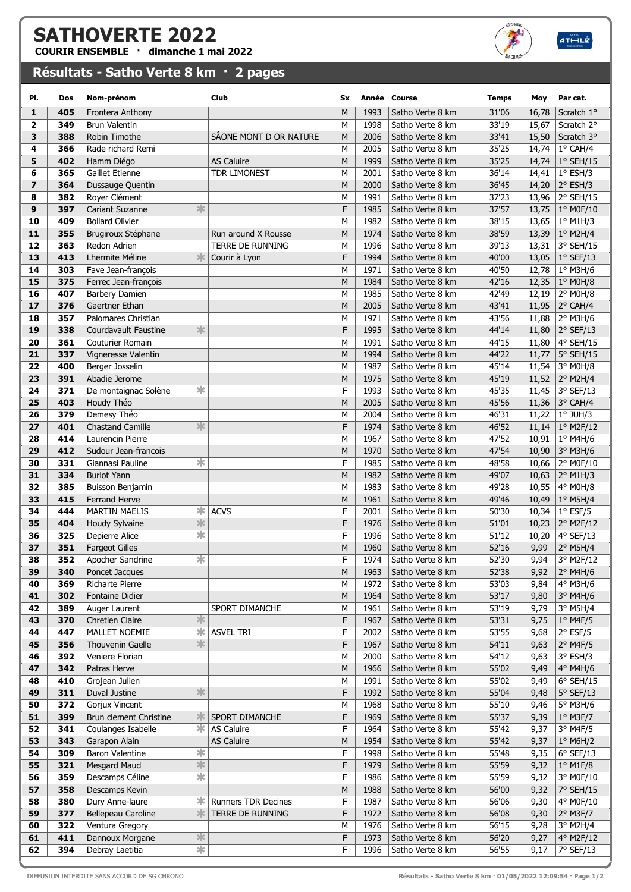## SATHOVERTE 2022

COURIR ENSEMBLE · dimanche 1 mai 2022

## Résultats - Satho Verte 8 km · 2 pages



 $ATHLE$ 

| PI.                     | Dos        | Nom-prénom                                      | Club                       | <b>Sx</b>    |              | Année Course                         | <b>Temps</b>   | Moy            | Par cat.               |
|-------------------------|------------|-------------------------------------------------|----------------------------|--------------|--------------|--------------------------------------|----------------|----------------|------------------------|
| 1                       | 405        | Frontera Anthony                                |                            | M            | 1993         | Satho Verte 8 km                     | 31'06          | 16,78          | Scratch 1°             |
| $\overline{\mathbf{2}}$ | 349        | <b>Brun Valentin</b>                            |                            | M            | 1998         | Satho Verte 8 km                     | 33'19          | 15,67          | Scratch 2°             |
| 3                       | 388        | Robin Timothe                                   | SÃONE MONT D OR NATURE     | M            | 2006         | Satho Verte 8 km                     | 33'41          | 15,50          | Scratch 3°             |
| 4                       | 366        | Rade richard Remi                               |                            | M            | 2005         | Satho Verte 8 km                     | 35'25          | 14,74          | $1^{\circ}$ CAH/4      |
| 5                       | 402        | Hamm Diégo                                      | <b>AS Caluire</b>          | M            | 1999         | Satho Verte 8 km                     | 35'25          | 14,74          | $1°$ SEH/15            |
| 6                       | 365        | <b>Gaillet Etienne</b>                          | <b>TDR LIMONEST</b>        | М            | 2001         | Satho Verte 8 km                     | 36'14          | 14,41          | $1^{\circ}$ ESH/3      |
| $\overline{z}$          | 364        | Dussauge Quentin                                |                            | M            | 2000         | Satho Verte 8 km                     | 36'45          | 14,20          | $2°$ ESH/3             |
| 8                       | 382        | Royer Clément                                   |                            | М            | 1991         | Satho Verte 8 km                     | 37'23          | 13,96          | $2°$ SEH/15            |
| 9                       | 397        | *<br><b>Cariant Suzanne</b>                     |                            | F            | 1985         | Satho Verte 8 km                     | 37'57          | 13,75          | 1° M0F/10              |
| 10                      | 409        | <b>Bollard Olivier</b>                          |                            | м            | 1982         | Satho Verte 8 km                     | 38'15          | 13,65          | $1°$ M1H/3             |
| 11                      | 355        | Brugiroux Stéphane                              | Run around X Rousse        | M            | 1974         | Satho Verte 8 km                     | 38'59          | 13,39          | $1°$ M2H/4             |
| 12                      | 363        | Redon Adrien                                    | <b>TERRE DE RUNNING</b>    | M            | 1996         | Satho Verte 8 km                     | 39'13          | 13,31          | 3° SEH/15              |
| 13                      | 413        | 氺<br>Lhermite Méline                            | Courir à Lyon              | F            | 1994         | Satho Verte 8 km                     | 40'00          | 13,05          | $1°$ SEF/13            |
| 14                      | 303        | Fave Jean-françois                              |                            | М            | 1971         | Satho Verte 8 km                     | 40'50          | 12,78          | $1°$ M3H/6             |
| 15                      | 375        | Ferrec Jean-françois                            |                            | M            | 1984         | Satho Verte 8 km                     | 42'16          | 12,35          | $1°$ MOH/8             |
| 16                      | 407        | Barbery Damien                                  |                            | М            | 1985         | Satho Verte 8 km                     | 42'49          | 12,19          | 2° M0H/8               |
| 17                      | 376        | Gaertner Ethan                                  |                            | M            | 2005         | Satho Verte 8 km                     | 43'41          | 11,95          | $2^{\circ}$ CAH/4      |
| 18                      | 357        | Palomares Christian                             |                            | М            | 1971         | Satho Verte 8 km                     | 43'56          | 11,88          | $2°$ M3H/6             |
| 19                      | 338        | 氺<br>Courdavault Faustine                       |                            | F            | 1995         | Satho Verte 8 km                     | 44'14          | 11,80          | 2° SEF/13              |
| 20                      | 361        | Couturier Romain                                |                            | м            | 1991         | Satho Verte 8 km                     | 44'15          | 11,80          | 4° SEH/15              |
| 21                      | 337        | Vigneresse Valentin                             |                            | M            | 1994         | Satho Verte 8 km                     | 44'22          | 11,77          | 5° SEH/15              |
| 22                      | 400        | Berger Josselin                                 |                            | м            | 1987         | Satho Verte 8 km                     | 45'14          | 11,54          | 3° M0H/8               |
| 23                      | 391        | Abadie Jerome                                   |                            | M            | 1975         | Satho Verte 8 km                     | 45'19          | 11,52          | $2^{\circ}$ M2H/4      |
| 24<br>25                | 371<br>403 | *<br>De montaignac Solène                       |                            | F<br>M       | 1993         | Satho Verte 8 km<br>Satho Verte 8 km | 45'35<br>45'56 | 11,45          | 3° SEF/13              |
| 26                      | 379        | Houdy Théo<br>Demesy Théo                       |                            | М            | 2005<br>2004 | Satho Verte 8 km                     | 46'31          | 11,36<br>11,22 | 3° CAH/4<br>$1°$ JUH/3 |
| 27                      | 401        | $\frac{1}{2}$<br><b>Chastand Camille</b>        |                            | F            | 1974         | Satho Verte 8 km                     | 46'52          | 11,14          | 1° M2F/12              |
| 28                      | 414        | Laurencin Pierre                                |                            | М            | 1967         | Satho Verte 8 km                     | 47'52          | 10,91          | $1°$ M4H/6             |
| 29                      | 412        | Sudour Jean-francois                            |                            | М            | 1970         | Satho Verte 8 km                     | 47'54          | 10,90          | 3° M3H/6               |
| 30                      | 331        | ☀<br>Giannasi Pauline                           |                            | $\mathsf F$  | 1985         | Satho Verte 8 km                     | 48'58          | 10,66          | 2° M0F/10              |
| 31                      | 334        | <b>Burlot Yann</b>                              |                            | M            | 1982         | Satho Verte 8 km                     | 49'07          | 10,63          | 2° M1H/3               |
| 32                      | 385        | Buisson Benjamin                                |                            | м            | 1983         | Satho Verte 8 km                     | 49'28          | 10,55          | 4° M0H/8               |
| 33                      | 415        | <b>Ferrand Herve</b>                            |                            | M            | 1961         | Satho Verte 8 km                     | 49'46          | 10,49          | $1^{\circ}$ M5H/4      |
| 34                      | 444        | ∗<br><b>MARTIN MAELIS</b>                       | <b>ACVS</b>                | F            | 2001         | Satho Verte 8 km                     | 50'30          | 10,34          | $1°$ ESF/5             |
| 35                      | 404        | $\frac{1}{2}$<br>Houdy Sylvaine                 |                            | F            | 1976         | Satho Verte 8 km                     | 51'01          | 10,23          | 2° M2F/12              |
| 36                      | 325        | ☀<br>Depierre Alice                             |                            | F            | 1996         | Satho Verte 8 km                     | 51'12          | 10,20          | 4° SEF/13              |
| 37                      | 351        | <b>Fargeot Gilles</b>                           |                            | M            | 1960         | Satho Verte 8 km                     | 52'16          | 9,99           | 2° M5H/4               |
| 38                      | 352        | $\overline{\ast}$<br>Apocher Sandrine           |                            | $\mathsf{F}$ | 1974         | Satho Verte 8 km                     | 52'30          | 9,94           | 3° M2F/12              |
| 39                      | 340        | Poncet Jacques                                  |                            | М            | 1963         | Satho Verte 8 km                     | 52'38          | 9,92           | 2° M4H/6               |
| 40                      | 369        | Richarte Pierre                                 |                            | M            | 1972         | Satho Verte 8 km                     | 53'03          | 9,84           | 4° M3H/6               |
| 41                      | 302        | Fontaine Didier                                 |                            | М            | 1964         | Satho Verte 8 km                     | 53'17          | 9,80           | 3° M4H/6               |
| 42                      | 389        | Auger Laurent                                   | SPORT DIMANCHE             | М            | 1961         | Satho Verte 8 km                     | 53'19          | 9,79           | 3° M5H/4               |
| 43                      | 370        | $\frac{1}{2}$<br>Chretien Claire                |                            | F            | 1967         | Satho Verte 8 km                     | 53'31          | 9,75           | 1° M4F/5               |
| 44                      | 447        | ∗<br>MALLET NOEMIE                              | <b>ASVEL TRI</b>           | F            | 2002         | Satho Verte 8 km                     | 53'55          | 9,68           | $2°$ ESF/5             |
| 45<br>46                | 356<br>392 | 氺<br><b>Thouvenin Gaelle</b><br>Veniere Florian |                            | F<br>М       | 1967<br>2000 | Satho Verte 8 km<br>Satho Verte 8 km | 54'11<br>54'12 | 9,63           | 2° M4F/5<br>3° ESH/3   |
| 47                      | 342        | Patras Herve                                    |                            | М            | 1966         | Satho Verte 8 km                     | 55'02          | 9,63<br>9,49   | 4° M4H/6               |
| 48                      | 410        | Grojean Julien                                  |                            | М            | 1991         | Satho Verte 8 km                     | 55'02          | 9,49           | $6°$ SEH/15            |
| 49                      | 311        | $\frac{1}{2}$<br>Duval Justine                  |                            | F            | 1992         | Satho Verte 8 km                     | 55'04          | 9,48           | $5°$ SEF/13            |
| 50                      | 372        | Gorjux Vincent                                  |                            | М            | 1968         | Satho Verte 8 km                     | 55'10          | 9,46           | 5° M3H/6               |
| 51                      | 399        | 氺<br>Brun clement Christine                     | SPORT DIMANCHE             | F            | 1969         | Satho Verte 8 km                     | 55'37          | 9,39           | $1°$ M3F/7             |
| 52                      | 341        | $\ast$<br>Coulanges Isabelle                    | AS Caluire                 | F            | 1964         | Satho Verte 8 km                     | 55'42          | 9,37           | $3°$ M4F/5             |
| 53                      | 343        | Garapon Alain                                   | AS Caluire                 | M            | 1954         | Satho Verte 8 km                     | 55'42          | 9,37           | $1°$ M6H/2             |
| 54                      | 309        | $\ast$<br><b>Baron Valentine</b>                |                            | F            | 1998         | Satho Verte 8 km                     | 55'48          | 9,35           | $6°$ SEF/13            |
| 55                      | 321        | $\frac{1}{2}$<br><b>Mesgard Maud</b>            |                            | F            | 1979         | Satho Verte 8 km                     | 55'59          | 9,32           | $1°$ M1F/8             |
| 56                      | 359        | $\frac{1}{2}$<br>Descamps Céline                |                            | F            | 1986         | Satho Verte 8 km                     | 55'59          | 9,32           | 3° M0F/10              |
| 57                      | 358        | Descamps Kevin                                  |                            | M            | 1988         | Satho Verte 8 km                     | 56'00          | 9,32           | 7° SEH/15              |
| 58                      | 380        | Dury Anne-laure<br>氺                            | <b>Runners TDR Decines</b> | F            | 1987         | Satho Verte 8 km                     | 56'06          | 9,30           | 4° M0F/10              |
| 59                      | 377        | $\ast$<br>Bellepeau Caroline                    | TERRE DE RUNNING           | F            | 1972         | Satho Verte 8 km                     | 56'08          | 9,30           | 2° M3F/7               |
| 60                      | 322        | Ventura Gregory                                 |                            | M            | 1976         | Satho Verte 8 km                     | 56'15          | 9,28           | 3° M2H/4               |
| 61                      | 411        | $\frac{1}{2}$<br>Dannoux Morgane                |                            | F            | 1973         | Satho Verte 8 km                     | 56'20          | 9,27           | 4° M2F/12              |
| 62                      | 394        | $\overline{\ast}$<br>Debray Laetitia            |                            | F            | 1996         | Satho Verte 8 km                     | 56'55          | 9,17           | 7° SEF/13              |